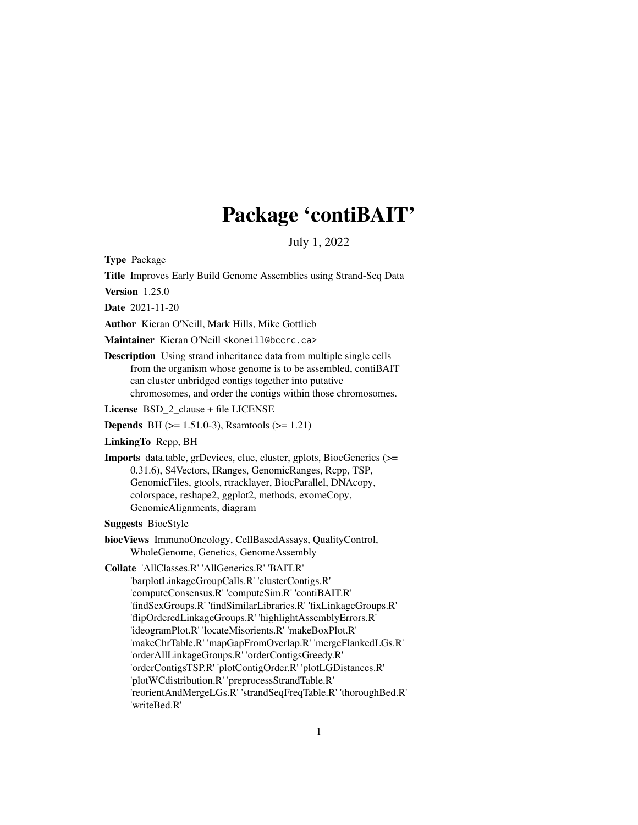# Package 'contiBAIT'

July 1, 2022

Type Package

Title Improves Early Build Genome Assemblies using Strand-Seq Data

Version 1.25.0

Date 2021-11-20

Author Kieran O'Neill, Mark Hills, Mike Gottlieb

Maintainer Kieran O'Neill <koneill@bccrc.ca>

Description Using strand inheritance data from multiple single cells from the organism whose genome is to be assembled, contiBAIT can cluster unbridged contigs together into putative chromosomes, and order the contigs within those chromosomes.

License BSD\_2\_clause + file LICENSE

**Depends** BH  $(>= 1.51.0-3)$ , Rsamtools  $(>= 1.21)$ 

LinkingTo Rcpp, BH

Imports data.table, grDevices, clue, cluster, gplots, BiocGenerics (>= 0.31.6), S4Vectors, IRanges, GenomicRanges, Rcpp, TSP, GenomicFiles, gtools, rtracklayer, BiocParallel, DNAcopy, colorspace, reshape2, ggplot2, methods, exomeCopy, GenomicAlignments, diagram

### Suggests BiocStyle

biocViews ImmunoOncology, CellBasedAssays, QualityControl, WholeGenome, Genetics, GenomeAssembly

Collate 'AllClasses.R' 'AllGenerics.R' 'BAIT.R' 'barplotLinkageGroupCalls.R' 'clusterContigs.R' 'computeConsensus.R' 'computeSim.R' 'contiBAIT.R' 'findSexGroups.R' 'findSimilarLibraries.R' 'fixLinkageGroups.R' 'flipOrderedLinkageGroups.R' 'highlightAssemblyErrors.R' 'ideogramPlot.R' 'locateMisorients.R' 'makeBoxPlot.R' 'makeChrTable.R' 'mapGapFromOverlap.R' 'mergeFlankedLGs.R' 'orderAllLinkageGroups.R' 'orderContigsGreedy.R' 'orderContigsTSP.R' 'plotContigOrder.R' 'plotLGDistances.R' 'plotWCdistribution.R' 'preprocessStrandTable.R' 'reorientAndMergeLGs.R' 'strandSeqFreqTable.R' 'thoroughBed.R' 'writeBed.R'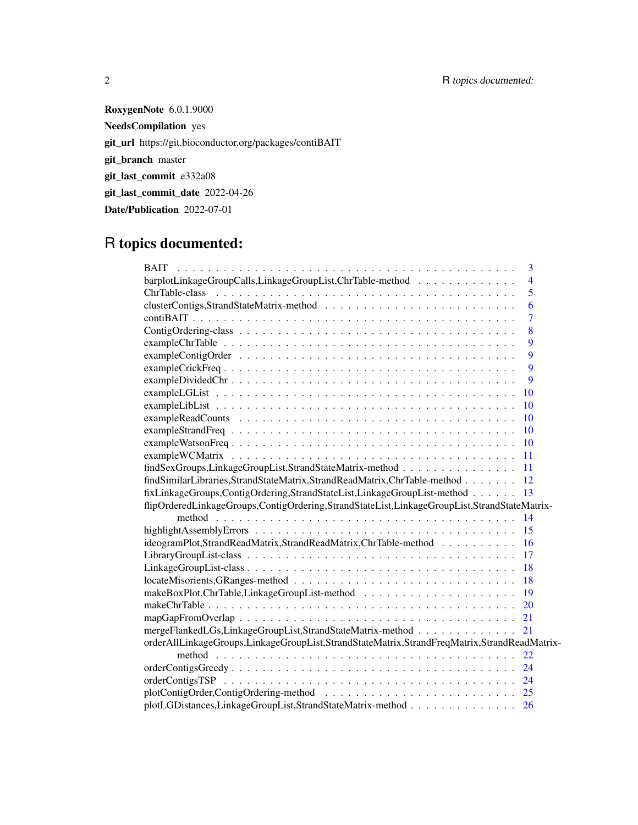RoxygenNote 6.0.1.9000 NeedsCompilation yes git\_url https://git.bioconductor.org/packages/contiBAIT git\_branch master git\_last\_commit e332a08 git\_last\_commit\_date 2022-04-26 Date/Publication 2022-07-01

# R topics documented:

| <b>BAIT</b><br>3                                                                                                       |
|------------------------------------------------------------------------------------------------------------------------|
| barplotLinkageGroupCalls,LinkageGroupList,ChrTable-method<br>4                                                         |
| 5                                                                                                                      |
| 6                                                                                                                      |
| 7                                                                                                                      |
| 8                                                                                                                      |
| $exampleChrTable \dots \dots \dots \dots \dots \dots \dots \dots \dots \dots \dots \dots \dots \dots \dots \dots$<br>9 |
| $exampleConfigOrder \dots \dots \dots \dots \dots \dots \dots \dots \dots \dots \dots \dots \dots \dots \dots$<br>9    |
| 9                                                                                                                      |
| $exampleDividedChr \ldots \ldots \ldots \ldots \ldots \ldots \ldots \ldots \ldots \ldots \ldots \ldots$<br>9           |
| 10                                                                                                                     |
| -10                                                                                                                    |
| $\overline{10}$                                                                                                        |
| - 10                                                                                                                   |
|                                                                                                                        |
| -11                                                                                                                    |
| findSexGroups,LinkageGroupList,StrandStateMatrix-method<br>-11                                                         |
| findSimilarLibraries,StrandStateMatrix,StrandReadMatrix,ChrTable-method 12                                             |
| fixLinkageGroups,ContigOrdering,StrandStateList,LinkageGroupList-method 13                                             |
| flipOrderedLinkageGroups,ContigOrdering,StrandStateList,LinkageGroupList,StrandStateMatrix-                            |
|                                                                                                                        |
|                                                                                                                        |
| ideogramPlot,StrandReadMatrix,StrandReadMatrix,ChrTable-method<br>16                                                   |
| 17                                                                                                                     |
| <b>18</b>                                                                                                              |
| -18                                                                                                                    |
| -19                                                                                                                    |
| <sup>20</sup>                                                                                                          |
|                                                                                                                        |
| mergeFlankedLGs,LinkageGroupList,StrandStateMatrix-method 21                                                           |
| orderAllLinkageGroups,LinkageGroupList,StrandStateMatrix,StrandFreqMatrix,StrandReadMatrix-                            |
| 22                                                                                                                     |
|                                                                                                                        |
|                                                                                                                        |
|                                                                                                                        |
| plotLGDistances, LinkageGroupList, StrandStateMatrix-method                                                            |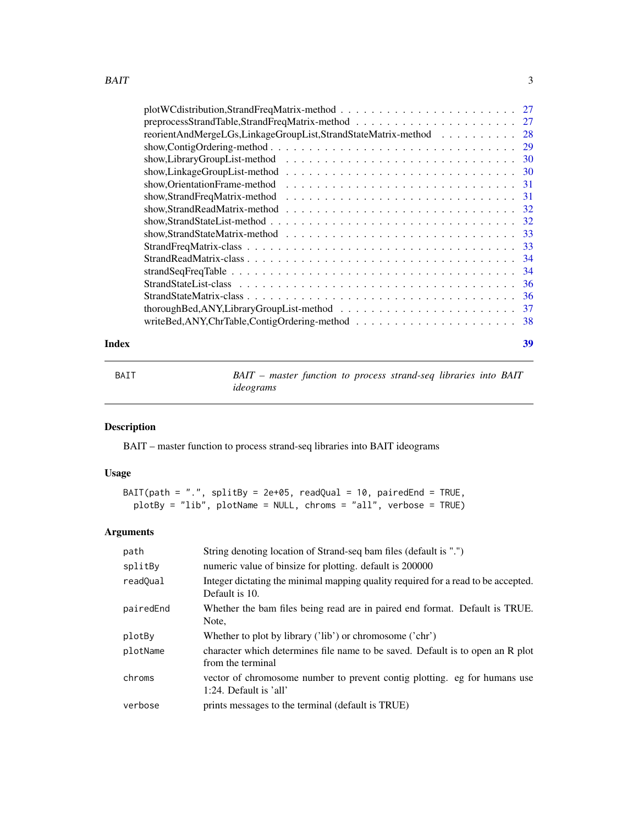<span id="page-2-0"></span>

|       | reorientAndMergeLGs,LinkageGroupList,StrandStateMatrix-method 28 |    |
|-------|------------------------------------------------------------------|----|
|       |                                                                  |    |
|       |                                                                  |    |
|       |                                                                  |    |
|       |                                                                  |    |
|       |                                                                  |    |
|       |                                                                  |    |
|       |                                                                  |    |
|       |                                                                  |    |
|       |                                                                  |    |
|       |                                                                  |    |
|       |                                                                  |    |
|       |                                                                  |    |
|       |                                                                  |    |
|       |                                                                  |    |
|       |                                                                  |    |
| Index |                                                                  | 39 |

BAIT *BAIT – master function to process strand-seq libraries into BAIT ideograms*

### Description

BAIT – master function to process strand-seq libraries into BAIT ideograms

### Usage

```
BAIT(path = ".", splitBy = 2e+05, readQual = 10, pairedEnd = TRUE,
 plotBy = "lib", plotName = NULL, chroms = "all", verbose = TRUE)
```
### Arguments

| path      | String denoting location of Strand-seq bam files (default is ".")                                     |
|-----------|-------------------------------------------------------------------------------------------------------|
| splitBy   | numeric value of binsize for plotting. default is 200000                                              |
| readQual  | Integer dictating the minimal mapping quality required for a read to be accepted.<br>Default is 10.   |
| pairedEnd | Whether the bam files being read are in paired end format. Default is TRUE.<br>Note,                  |
| plotBy    | Whether to plot by library ('lib') or chromosome ('chr')                                              |
| plotName  | character which determines file name to be saved. Default is to open an R plot<br>from the terminal   |
| chroms    | vector of chromosome number to prevent contig plotting. eg for humans use<br>1:24. Default is $'all'$ |
| verbose   | prints messages to the terminal (default is TRUE)                                                     |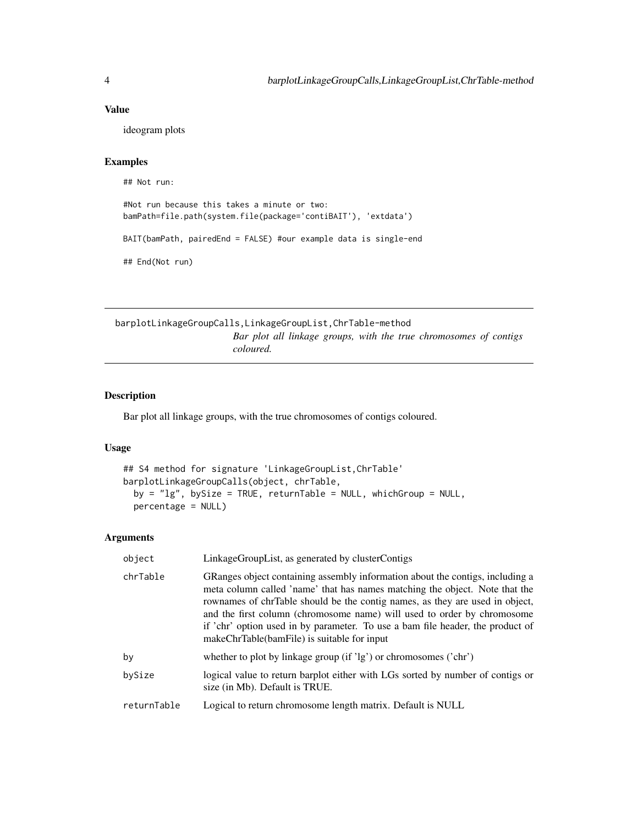#### <span id="page-3-0"></span>Value

ideogram plots

### Examples

## Not run:

```
#Not run because this takes a minute or two:
bamPath=file.path(system.file(package='contiBAIT'), 'extdata')
```
BAIT(bamPath, pairedEnd = FALSE) #our example data is single-end

## End(Not run)

barplotLinkageGroupCalls,LinkageGroupList,ChrTable-method *Bar plot all linkage groups, with the true chromosomes of contigs coloured.*

### Description

Bar plot all linkage groups, with the true chromosomes of contigs coloured.

#### Usage

```
## S4 method for signature 'LinkageGroupList,ChrTable'
barplotLinkageGroupCalls(object, chrTable,
 by = "lg", bySize = TRUE, returnTable = NULL, whichGroup = NULL,
 percentage = NULL)
```
#### Arguments

| object      | LinkageGroupList, as generated by clusterContigs                                                                                                                                                                                                                                                                                                                                                                                                         |
|-------------|----------------------------------------------------------------------------------------------------------------------------------------------------------------------------------------------------------------------------------------------------------------------------------------------------------------------------------------------------------------------------------------------------------------------------------------------------------|
| chrTable    | GRanges object containing assembly information about the contigs, including a<br>meta column called 'name' that has names matching the object. Note that the<br>rownames of chrTable should be the contig names, as they are used in object,<br>and the first column (chromosome name) will used to order by chromosome<br>if 'chr' option used in by parameter. To use a bam file header, the product of<br>makeChrTable(bamFile) is suitable for input |
| by          | whether to plot by linkage group (if 'lg') or chromosomes ('chr')                                                                                                                                                                                                                                                                                                                                                                                        |
| bySize      | logical value to return barplot either with LGs sorted by number of contigs or<br>size (in Mb). Default is TRUE.                                                                                                                                                                                                                                                                                                                                         |
| returnTable | Logical to return chromosome length matrix. Default is NULL                                                                                                                                                                                                                                                                                                                                                                                              |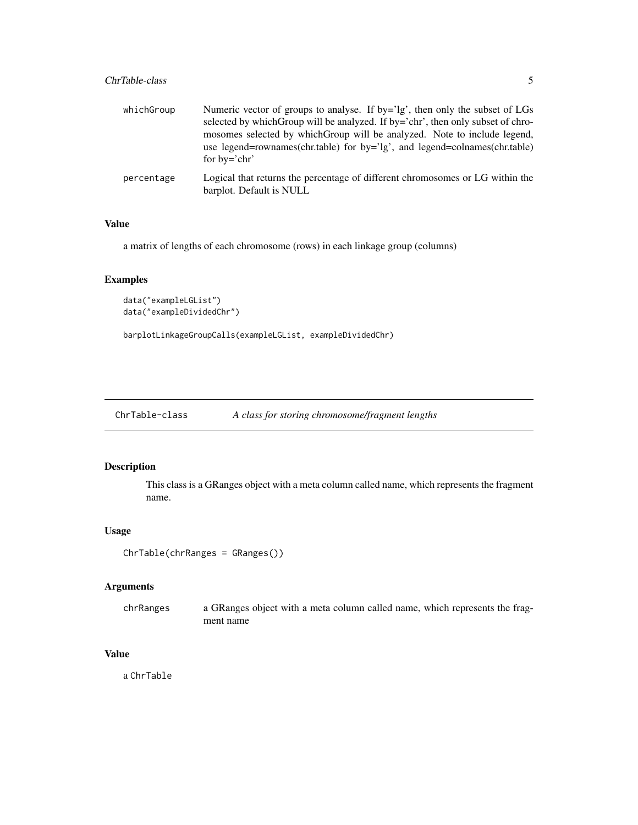### <span id="page-4-0"></span>ChrTable-class 5

| whichGroup | Numeric vector of groups to analyse. If by='lg', then only the subset of LGs<br>selected by which Group will be analyzed. If by='chr', then only subset of chro-<br>mosomes selected by which Group will be analyzed. Note to include legend,<br>use legend=rownames(chr.table) for $by='lg'$ , and legend=colnames(chr.table)<br>for $by='chr'$ |
|------------|--------------------------------------------------------------------------------------------------------------------------------------------------------------------------------------------------------------------------------------------------------------------------------------------------------------------------------------------------|
| percentage | Logical that returns the percentage of different chromosomes or LG within the<br>barplot. Default is NULL                                                                                                                                                                                                                                        |

### Value

a matrix of lengths of each chromosome (rows) in each linkage group (columns)

### Examples

```
data("exampleLGList")
data("exampleDividedChr")
```
barplotLinkageGroupCalls(exampleLGList, exampleDividedChr)

ChrTable-class *A class for storing chromosome/fragment lengths*

### Description

This class is a GRanges object with a meta column called name, which represents the fragment name.

#### Usage

```
ChrTable(chrRanges = GRanges())
```
#### Arguments

chrRanges a GRanges object with a meta column called name, which represents the fragment name

#### Value

a ChrTable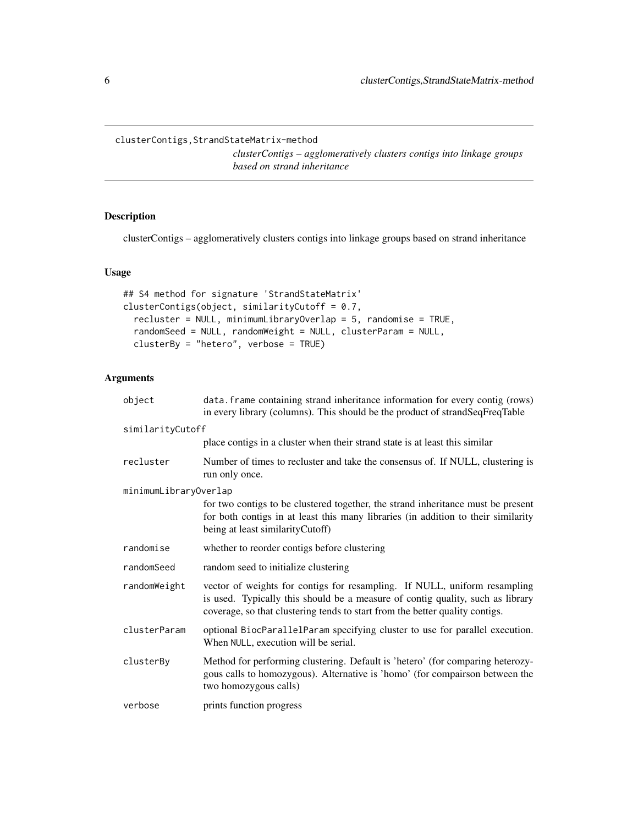<span id="page-5-0"></span>clusterContigs,StrandStateMatrix-method

*clusterContigs – agglomeratively clusters contigs into linkage groups based on strand inheritance*

### Description

clusterContigs – agglomeratively clusters contigs into linkage groups based on strand inheritance

### Usage

```
## S4 method for signature 'StrandStateMatrix'
clusterContigs(object, similarityCutoff = 0.7,
  recluster = NULL, minimumLibraryOverlap = 5, randomise = TRUE,
 randomSeed = NULL, randomWeight = NULL, clusterParam = NULL,
 clusterBy = "hetero", verbose = TRUE)
```
### Arguments

| object                | data. frame containing strand inheritance information for every contig (rows)<br>in every library (columns). This should be the product of strandSeqFreqTable                                                                               |  |
|-----------------------|---------------------------------------------------------------------------------------------------------------------------------------------------------------------------------------------------------------------------------------------|--|
| similarityCutoff      |                                                                                                                                                                                                                                             |  |
|                       | place contigs in a cluster when their strand state is at least this similar                                                                                                                                                                 |  |
| recluster             | Number of times to recluster and take the consensus of. If NULL, clustering is<br>run only once.                                                                                                                                            |  |
| minimumLibraryOverlap |                                                                                                                                                                                                                                             |  |
|                       | for two contigs to be clustered together, the strand inheritance must be present<br>for both contigs in at least this many libraries (in addition to their similarity<br>being at least similarityCutoff)                                   |  |
| randomise             | whether to reorder contigs before clustering                                                                                                                                                                                                |  |
| randomSeed            | random seed to initialize clustering                                                                                                                                                                                                        |  |
| randomWeight          | vector of weights for contigs for resampling. If NULL, uniform resampling<br>is used. Typically this should be a measure of contig quality, such as library<br>coverage, so that clustering tends to start from the better quality contigs. |  |
| clusterParam          | optional BiocParallelParam specifying cluster to use for parallel execution.<br>When NULL, execution will be serial.                                                                                                                        |  |
| clusterBy             | Method for performing clustering. Default is 'hetero' (for comparing heterozy-<br>gous calls to homozygous). Alternative is 'homo' (for compairson between the<br>two homozygous calls)                                                     |  |
| verbose               | prints function progress                                                                                                                                                                                                                    |  |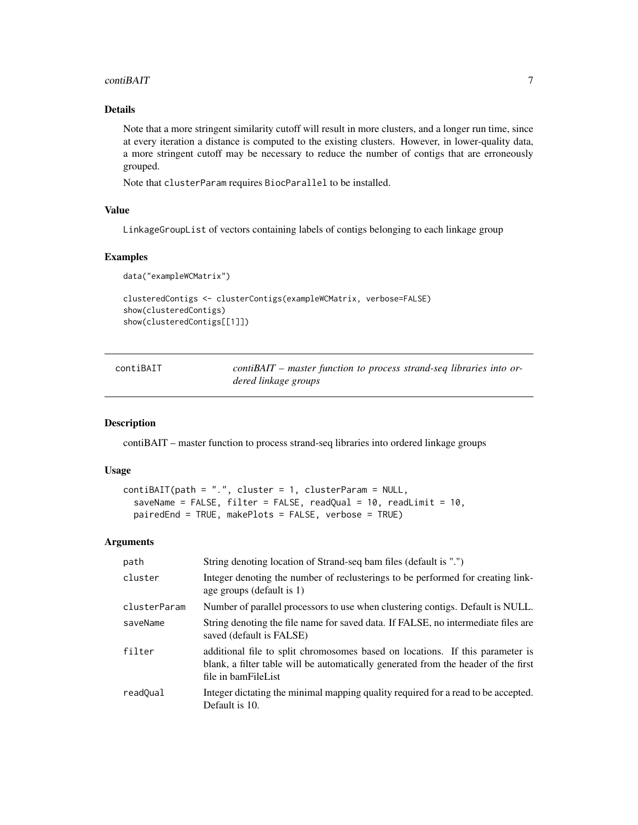#### <span id="page-6-0"></span>contiBAIT 7 and 2008 and 2008 and 2008 and 2008 and 2008 and 2008 and 2008 and 2008 and 2008 and 2008 and 2008

### Details

Note that a more stringent similarity cutoff will result in more clusters, and a longer run time, since at every iteration a distance is computed to the existing clusters. However, in lower-quality data, a more stringent cutoff may be necessary to reduce the number of contigs that are erroneously grouped.

Note that clusterParam requires BiocParallel to be installed.

### Value

LinkageGroupList of vectors containing labels of contigs belonging to each linkage group

### Examples

```
data("exampleWCMatrix")
```

```
clusteredContigs <- clusterContigs(exampleWCMatrix, verbose=FALSE)
show(clusteredContigs)
show(clusteredContigs[[1]])
```

| contiBAIT | contiBAIT – master function to process strand-seq libraries into or- |
|-----------|----------------------------------------------------------------------|
|           | dered linkage groups                                                 |

#### Description

contiBAIT – master function to process strand-seq libraries into ordered linkage groups

### Usage

```
contiBAIT(path = ".", cluster = 1, clusterParam = NULL,
  saveName = FALSE, filter = FALSE, readQual = 10, readLimit = 10,
 pairedEnd = TRUE, makePlots = FALSE, verbose = TRUE)
```
#### Arguments

| path         | String denoting location of Strand-seq bam files (default is ".")                                                                                                                          |
|--------------|--------------------------------------------------------------------------------------------------------------------------------------------------------------------------------------------|
| cluster      | Integer denoting the number of reclusterings to be performed for creating link-<br>age groups (default is 1)                                                                               |
| clusterParam | Number of parallel processors to use when clustering contigs. Default is NULL.                                                                                                             |
| saveName     | String denoting the file name for saved data. If FALSE, no intermediate files are<br>saved (default is FALSE)                                                                              |
| filter       | additional file to split chromosomes based on locations. If this parameter is<br>blank, a filter table will be automatically generated from the header of the first<br>file in bamFileList |
| readQual     | Integer dictating the minimal mapping quality required for a read to be accepted.<br>Default is 10.                                                                                        |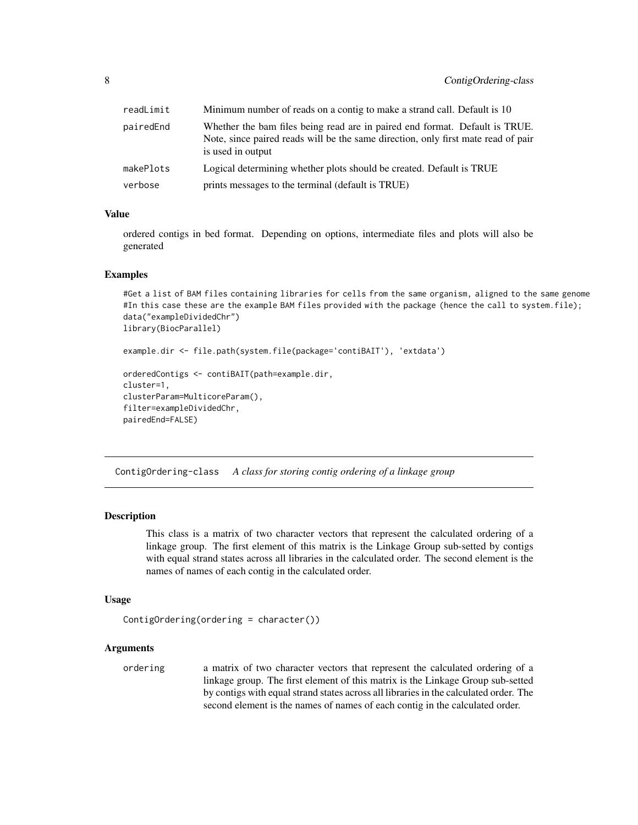<span id="page-7-0"></span>

| readLimit | Minimum number of reads on a contig to make a strand call. Default is 10                                                                                                              |
|-----------|---------------------------------------------------------------------------------------------------------------------------------------------------------------------------------------|
| pairedEnd | Whether the bam files being read are in paired end format. Default is TRUE.<br>Note, since paired reads will be the same direction, only first mate read of pair<br>is used in output |
| makePlots | Logical determining whether plots should be created. Default is TRUE                                                                                                                  |
| verbose   | prints messages to the terminal (default is TRUE)                                                                                                                                     |

#### Value

ordered contigs in bed format. Depending on options, intermediate files and plots will also be generated

#### Examples

```
#Get a list of BAM files containing libraries for cells from the same organism, aligned to the same genome
#In this case these are the example BAM files provided with the package (hence the call to system.file);
data("exampleDividedChr")
library(BiocParallel)
```

```
example.dir <- file.path(system.file(package='contiBAIT'), 'extdata')
```

```
orderedContigs <- contiBAIT(path=example.dir,
cluster=1,
clusterParam=MulticoreParam(),
filter=exampleDividedChr,
pairedEnd=FALSE)
```
ContigOrdering-class *A class for storing contig ordering of a linkage group*

#### Description

This class is a matrix of two character vectors that represent the calculated ordering of a linkage group. The first element of this matrix is the Linkage Group sub-setted by contigs with equal strand states across all libraries in the calculated order. The second element is the names of names of each contig in the calculated order.

#### Usage

```
ContigOrdering(ordering = character())
```
#### Arguments

ordering a matrix of two character vectors that represent the calculated ordering of a linkage group. The first element of this matrix is the Linkage Group sub-setted by contigs with equal strand states across all libraries in the calculated order. The second element is the names of names of each contig in the calculated order.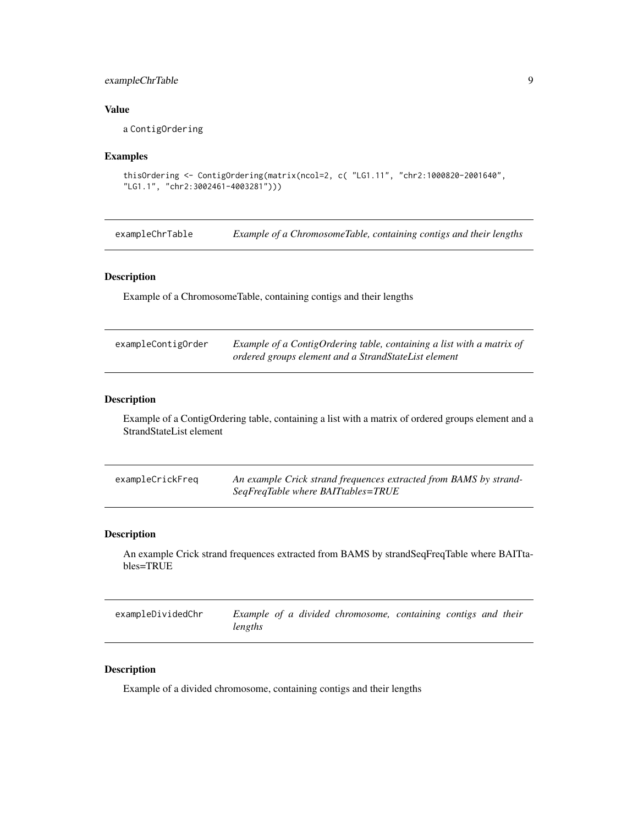### <span id="page-8-0"></span>exampleChrTable 9

### Value

a ContigOrdering

#### Examples

```
thisOrdering <- ContigOrdering(matrix(ncol=2, c( "LG1.11", "chr2:1000820-2001640",
"LG1.1", "chr2:3002461-4003281")))
```
exampleChrTable *Example of a ChromosomeTable, containing contigs and their lengths*

#### Description

Example of a ChromosomeTable, containing contigs and their lengths

| exampleContigOrder | Example of a ContigOrdering table, containing a list with a matrix of |
|--------------------|-----------------------------------------------------------------------|
|                    | ordered groups element and a StrandStateList element                  |

#### Description

Example of a ContigOrdering table, containing a list with a matrix of ordered groups element and a StrandStateList element

| exampleCrickFreq | An example Crick strand frequences extracted from BAMS by strand- |
|------------------|-------------------------------------------------------------------|
|                  | SeqFreqTable where BAITtables=TRUE                                |

#### Description

An example Crick strand frequences extracted from BAMS by strandSeqFreqTable where BAITtables=TRUE

exampleDividedChr *Example of a divided chromosome, containing contigs and their lengths*

#### Description

Example of a divided chromosome, containing contigs and their lengths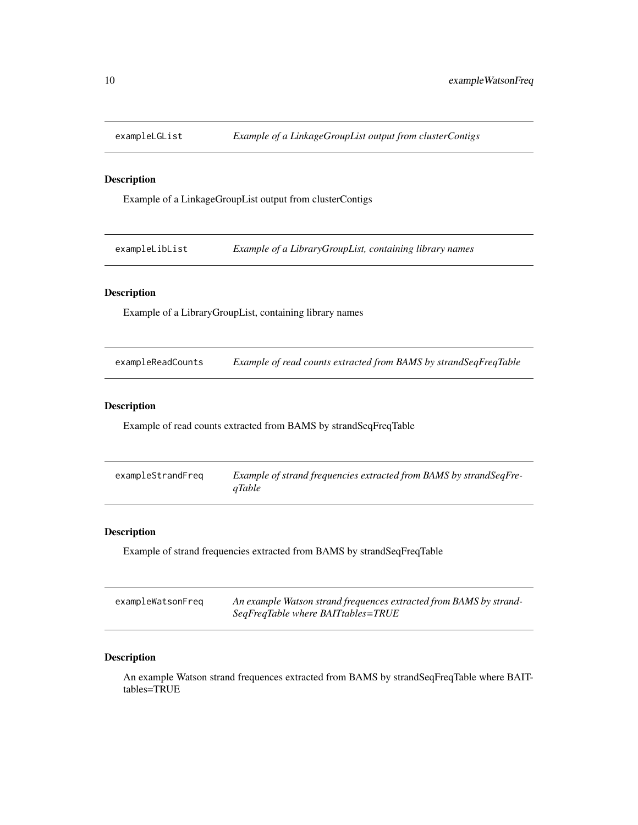<span id="page-9-0"></span>

### Description

Example of a LinkageGroupList output from clusterContigs

exampleLibList *Example of a LibraryGroupList, containing library names*

### Description

Example of a LibraryGroupList, containing library names

exampleReadCounts *Example of read counts extracted from BAMS by strandSeqFreqTable*

### Description

Example of read counts extracted from BAMS by strandSeqFreqTable

| exampleStrandFreq | Example of strand frequencies extracted from BAMS by strandSeqFre- |
|-------------------|--------------------------------------------------------------------|
|                   | <i>aTable</i>                                                      |

### Description

Example of strand frequencies extracted from BAMS by strandSeqFreqTable

| exampleWatsonFreq | An example Watson strand frequences extracted from BAMS by strand- |
|-------------------|--------------------------------------------------------------------|
|                   | SeqFreqTable where BAITtables=TRUE                                 |

#### Description

An example Watson strand frequences extracted from BAMS by strandSeqFreqTable where BAITtables=TRUE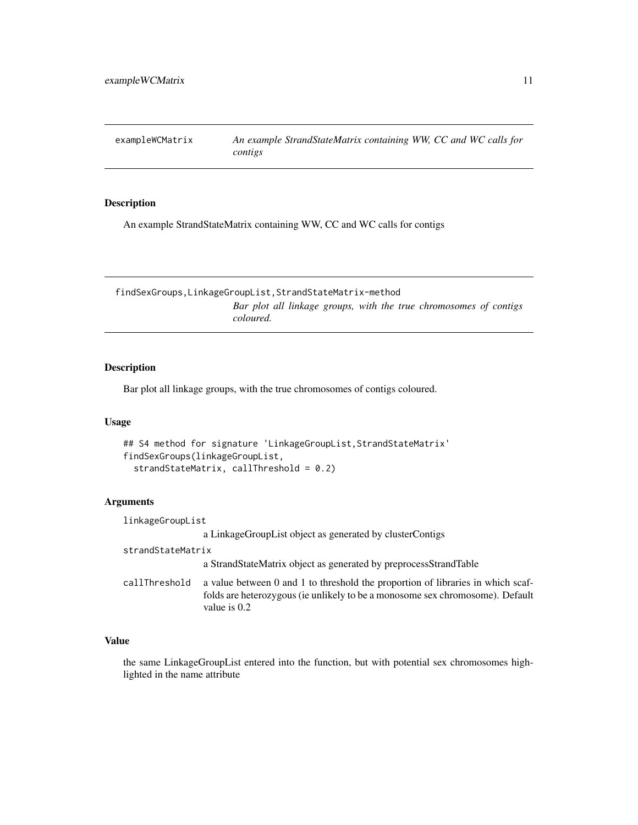<span id="page-10-0"></span>exampleWCMatrix *An example StrandStateMatrix containing WW, CC and WC calls for contigs*

### Description

An example StrandStateMatrix containing WW, CC and WC calls for contigs

findSexGroups,LinkageGroupList,StrandStateMatrix-method *Bar plot all linkage groups, with the true chromosomes of contigs coloured.*

#### Description

Bar plot all linkage groups, with the true chromosomes of contigs coloured.

#### Usage

## S4 method for signature 'LinkageGroupList, StrandStateMatrix' findSexGroups(linkageGroupList, strandStateMatrix, callThreshold = 0.2)

#### Arguments

| linkageGroupList  |                                                                                                                                                                                    |
|-------------------|------------------------------------------------------------------------------------------------------------------------------------------------------------------------------------|
|                   | a LinkageGroupList object as generated by clusterContigs                                                                                                                           |
| strandStateMatrix |                                                                                                                                                                                    |
|                   | a StrandStateMatrix object as generated by preprocessStrandTable                                                                                                                   |
| callThreshold     | a value between 0 and 1 to threshold the proportion of libraries in which scaf-<br>folds are heterozygous (ie unlikely to be a monosome sex chromosome). Default<br>value is $0.2$ |

#### Value

the same LinkageGroupList entered into the function, but with potential sex chromosomes highlighted in the name attribute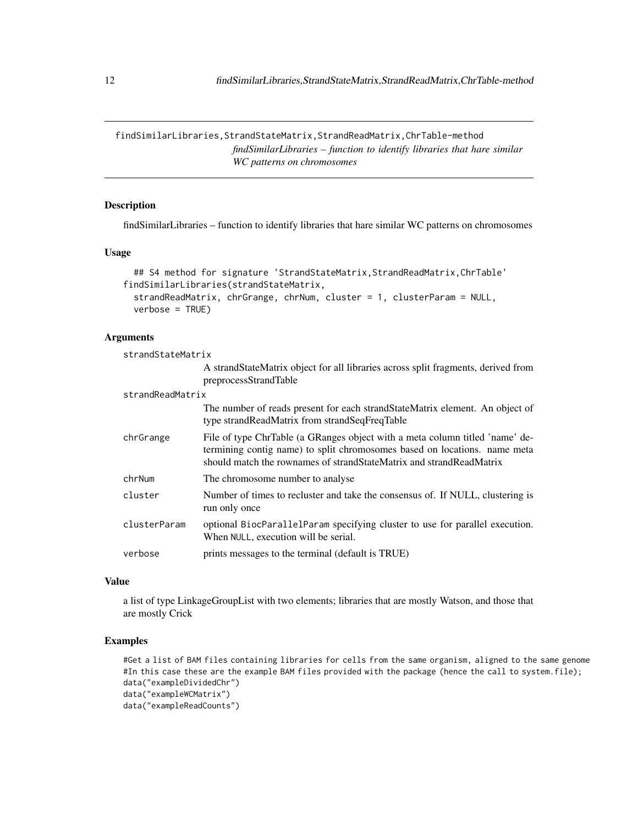<span id="page-11-0"></span>findSimilarLibraries,StrandStateMatrix,StrandReadMatrix,ChrTable-method *findSimilarLibraries – function to identify libraries that hare similar WC patterns on chromosomes*

### Description

findSimilarLibraries – function to identify libraries that hare similar WC patterns on chromosomes

#### Usage

```
## S4 method for signature 'StrandStateMatrix,StrandReadMatrix,ChrTable'
findSimilarLibraries(strandStateMatrix,
  strandReadMatrix, chrGrange, chrNum, cluster = 1, clusterParam = NULL,
  verbose = TRUE)
```
#### Arguments

strandStateMatrix

A strandStateMatrix object for all libraries across split fragments, derived from preprocessStrandTable

| strandReadMatrix |                                                                                                                                                                                                                                  |
|------------------|----------------------------------------------------------------------------------------------------------------------------------------------------------------------------------------------------------------------------------|
|                  | The number of reads present for each strandStateMatrix element. An object of<br>type strand ReadMatrix from strand Seq Freq Table                                                                                                |
| chrGrange        | File of type ChrTable (a GRanges object with a meta column titled 'name' de-<br>termining contig name) to split chromosomes based on locations. name meta<br>should match the rownames of strandStateMatrix and strandReadMatrix |
| chrNum           | The chromosome number to analyse                                                                                                                                                                                                 |
| cluster          | Number of times to recluster and take the consensus of. If NULL, clustering is<br>run only once                                                                                                                                  |
| clusterParam     | optional BiocParallelParam specifying cluster to use for parallel execution.<br>When NULL, execution will be serial.                                                                                                             |
| verbose          | prints messages to the terminal (default is TRUE)                                                                                                                                                                                |

### Value

a list of type LinkageGroupList with two elements; libraries that are mostly Watson, and those that are mostly Crick

### Examples

```
#Get a list of BAM files containing libraries for cells from the same organism, aligned to the same genome
#In this case these are the example BAM files provided with the package (hence the call to system.file);
data("exampleDividedChr")
data("exampleWCMatrix")
data("exampleReadCounts")
```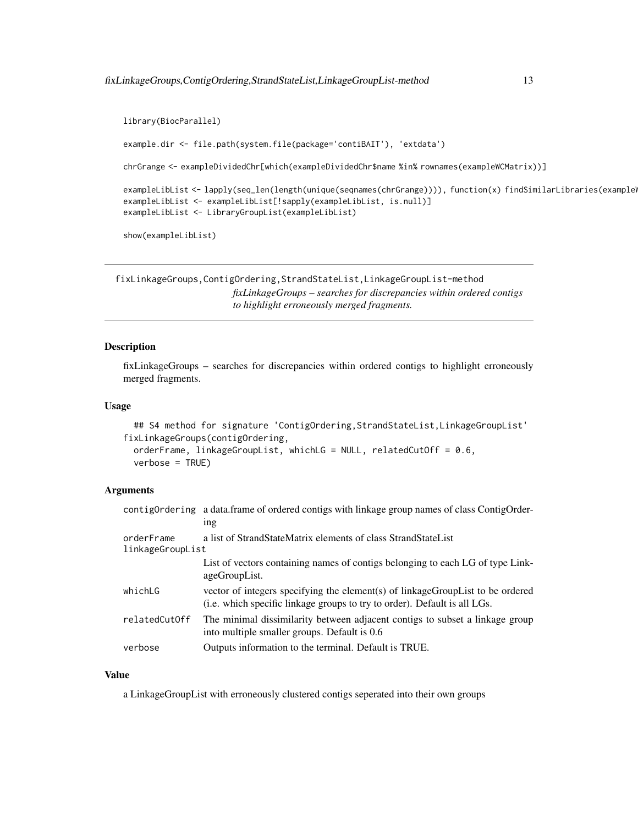```
library(BiocParallel)
example.dir <- file.path(system.file(package='contiBAIT'), 'extdata')
chrGrange <- exampleDividedChr[which(exampleDividedChr$name %in% rownames(exampleWCMatrix))]
exampleLibList <- lapply(seq_len(length(unique(seqnames(chrGrange)))), function(x) findSimilarLibraries(example
exampleLibList <- exampleLibList[!sapply(exampleLibList, is.null)]
exampleLibList <- LibraryGroupList(exampleLibList)
show(exampleLibList)
```
fixLinkageGroups,ContigOrdering,StrandStateList,LinkageGroupList-method *fixLinkageGroups – searches for discrepancies within ordered contigs to highlight erroneously merged fragments.*

#### Description

fixLinkageGroups – searches for discrepancies within ordered contigs to highlight erroneously merged fragments.

#### Usage

```
## S4 method for signature 'ContigOrdering, StrandStateList, LinkageGroupList'
fixLinkageGroups(contigOrdering,
  orderFrame, linkageGroupList, whichLG = NULL, relatedCutOff = 0.6,
  verbose = TRUE)
```
#### Arguments

|                                | contigordering a data.frame of ordered contigs with linkage group names of class Contigorder-<br>1 <sub>n</sub>                                             |
|--------------------------------|-------------------------------------------------------------------------------------------------------------------------------------------------------------|
| orderFrame<br>linkageGroupList | a list of StrandStateMatrix elements of class StrandStateList                                                                                               |
|                                | List of vectors containing names of contigs belonging to each LG of type Link-<br>ageGroupList.                                                             |
| whichLG                        | vector of integers specifying the element(s) of linkageGroupList to be ordered<br>(i.e. which specific linkage groups to try to order). Default is all LGs. |
| relatedCutOff                  | The minimal dissimilarity between adjacent contigs to subset a linkage group<br>into multiple smaller groups. Default is 0.6                                |
| verbose                        | Outputs information to the terminal. Default is TRUE.                                                                                                       |

#### Value

a LinkageGroupList with erroneously clustered contigs seperated into their own groups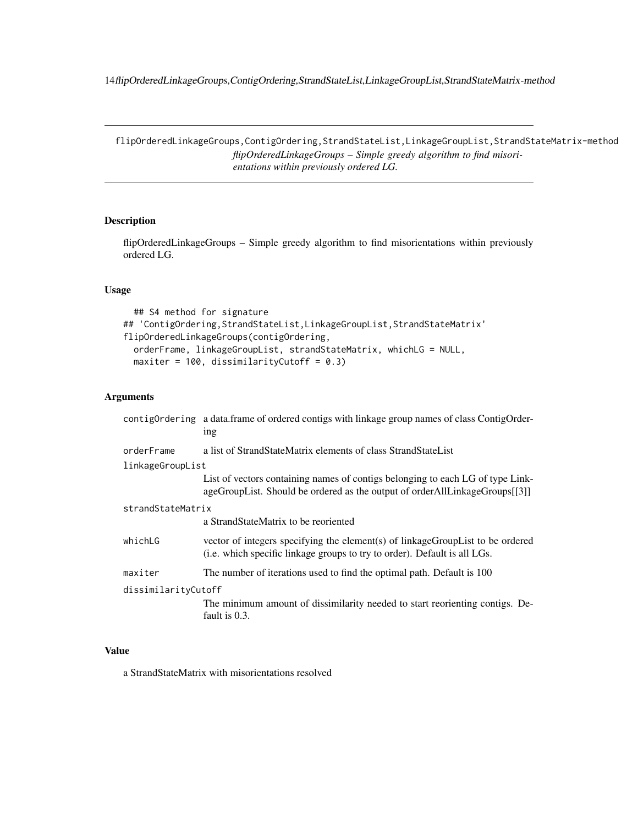<span id="page-13-0"></span>14flipOrderedLinkageGroups,ContigOrdering,StrandStateList,LinkageGroupList,StrandStateMatrix-method

flipOrderedLinkageGroups,ContigOrdering,StrandStateList,LinkageGroupList,StrandStateMatrix-method *flipOrderedLinkageGroups – Simple greedy algorithm to find misorientations within previously ordered LG.*

### Description

flipOrderedLinkageGroups – Simple greedy algorithm to find misorientations within previously ordered LG.

### Usage

```
## S4 method for signature
## 'ContigOrdering,StrandStateList,LinkageGroupList,StrandStateMatrix'
flipOrderedLinkageGroups(contigOrdering,
 orderFrame, linkageGroupList, strandStateMatrix, whichLG = NULL,
 maxiter = 100, dissimilarityCutoff = 0.3)
```
### Arguments

|                     | contigordering a data.frame of ordered contigs with linkage group names of class Contigorder-<br>ing                                                          |  |
|---------------------|---------------------------------------------------------------------------------------------------------------------------------------------------------------|--|
| orderFrame          | a list of StrandStateMatrix elements of class StrandStateList                                                                                                 |  |
| linkageGroupList    |                                                                                                                                                               |  |
|                     | List of vectors containing names of contigs belonging to each LG of type Link-<br>ageGroupList. Should be ordered as the output of orderAllLinkageGroups[[3]] |  |
| strandStateMatrix   |                                                                                                                                                               |  |
|                     | a StrandStateMatrix to be reoriented                                                                                                                          |  |
| whichLG             | vector of integers specifying the element(s) of linkageGroupList to be ordered<br>(i.e. which specific linkage groups to try to order). Default is all LGs.   |  |
| maxiter             | The number of iterations used to find the optimal path. Default is 100                                                                                        |  |
| dissimilarityCutoff |                                                                                                                                                               |  |
|                     | The minimum amount of dissimilarity needed to start reorienting contigs. De-<br>fault is $0.3$ .                                                              |  |

### Value

a StrandStateMatrix with misorientations resolved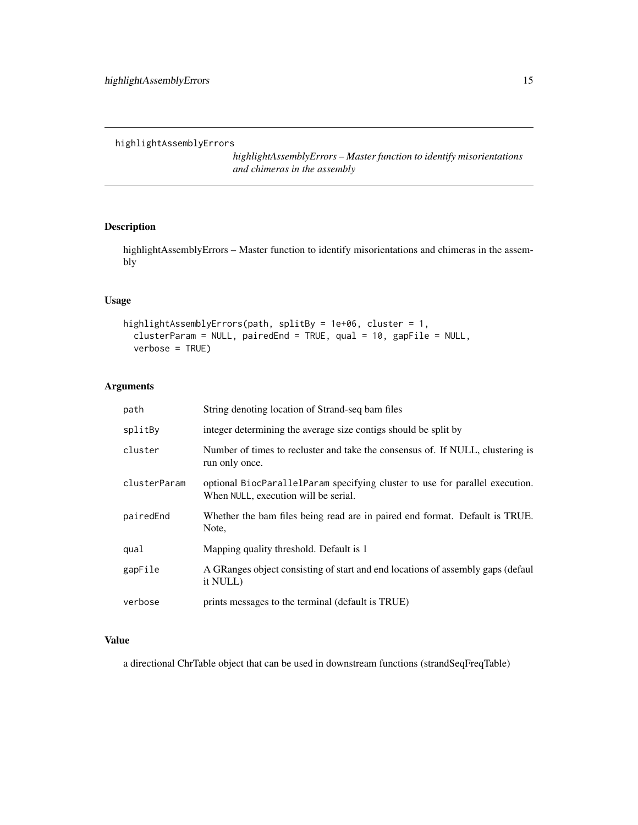<span id="page-14-0"></span>highlightAssemblyErrors

*highlightAssemblyErrors – Master function to identify misorientations and chimeras in the assembly*

### Description

highlightAssemblyErrors – Master function to identify misorientations and chimeras in the assembly

### Usage

```
highlightAssemblyErrors(path, splitBy = 1e+06, cluster = 1,
 clusterParam = NULL, pairedEnd = TRUE, qual = 10, gapFile = NULL,
  verbose = TRUE)
```
#### Arguments

| path         | String denoting location of Strand-seq bam files                                                                     |
|--------------|----------------------------------------------------------------------------------------------------------------------|
| splitBy      | integer determining the average size contigs should be split by                                                      |
| cluster      | Number of times to recluster and take the consensus of. If NULL, clustering is<br>run only once.                     |
| clusterParam | optional BiocParallelParam specifying cluster to use for parallel execution.<br>When NULL, execution will be serial. |
| pairedEnd    | Whether the bam files being read are in paired end format. Default is TRUE.<br>Note,                                 |
| qual         | Mapping quality threshold. Default is 1                                                                              |
| gapFile      | A GRanges object consisting of start and end locations of assembly gaps (defaul<br>it NULL)                          |
| verbose      | prints messages to the terminal (default is TRUE)                                                                    |

#### Value

a directional ChrTable object that can be used in downstream functions (strandSeqFreqTable)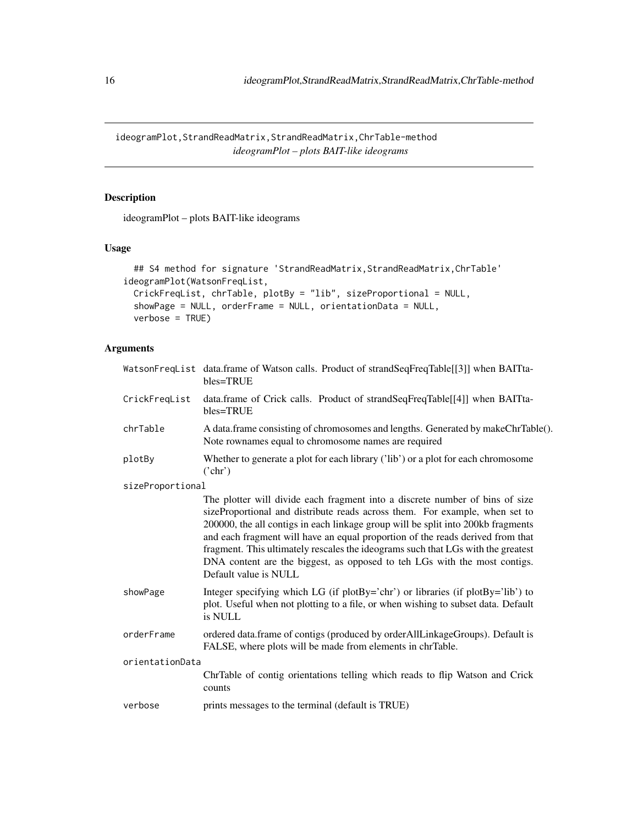<span id="page-15-0"></span>ideogramPlot,StrandReadMatrix,StrandReadMatrix,ChrTable-method *ideogramPlot – plots BAIT-like ideograms*

### Description

ideogramPlot – plots BAIT-like ideograms

#### Usage

```
## S4 method for signature 'StrandReadMatrix,StrandReadMatrix,ChrTable'
ideogramPlot(WatsonFreqList,
 CrickFreqList, chrTable, plotBy = "lib", sizeProportional = NULL,
  showPage = NULL, orderFrame = NULL, orientationData = NULL,
 verbose = TRUE)
```
### Arguments

|                  | WatsonFreqList data.frame of Watson calls. Product of strandSeqFreqTable[[3]] when BAITta-<br>bles=TRUE                                                                                                                                                                                                                                                                                                                                                                                                                     |
|------------------|-----------------------------------------------------------------------------------------------------------------------------------------------------------------------------------------------------------------------------------------------------------------------------------------------------------------------------------------------------------------------------------------------------------------------------------------------------------------------------------------------------------------------------|
| CrickFreqList    | data.frame of Crick calls. Product of strandSeqFreqTable[[4]] when BAITta-<br>bles=TRUE                                                                                                                                                                                                                                                                                                                                                                                                                                     |
| chrTable         | A data.frame consisting of chromosomes and lengths. Generated by makeChrTable().<br>Note rownames equal to chromosome names are required                                                                                                                                                                                                                                                                                                                                                                                    |
| plotBy           | Whether to generate a plot for each library ('lib') or a plot for each chromosome<br>('chr')                                                                                                                                                                                                                                                                                                                                                                                                                                |
| sizeProportional |                                                                                                                                                                                                                                                                                                                                                                                                                                                                                                                             |
|                  | The plotter will divide each fragment into a discrete number of bins of size<br>sizeProportional and distribute reads across them. For example, when set to<br>200000, the all contigs in each linkage group will be split into 200kb fragments<br>and each fragment will have an equal proportion of the reads derived from that<br>fragment. This ultimately rescales the ideograms such that LGs with the greatest<br>DNA content are the biggest, as opposed to teh LGs with the most contigs.<br>Default value is NULL |
| showPage         | Integer specifying which LG (if $plotBy='chr'$ ) or libraries (if $plotBy='lib'$ ) to<br>plot. Useful when not plotting to a file, or when wishing to subset data. Default<br>is NULL                                                                                                                                                                                                                                                                                                                                       |
| orderFrame       | ordered data.frame of contigs (produced by orderAllLinkageGroups). Default is<br>FALSE, where plots will be made from elements in chrTable.                                                                                                                                                                                                                                                                                                                                                                                 |
| orientationData  |                                                                                                                                                                                                                                                                                                                                                                                                                                                                                                                             |
|                  | ChrTable of contig orientations telling which reads to flip Watson and Crick<br>counts                                                                                                                                                                                                                                                                                                                                                                                                                                      |
| verbose          | prints messages to the terminal (default is TRUE)                                                                                                                                                                                                                                                                                                                                                                                                                                                                           |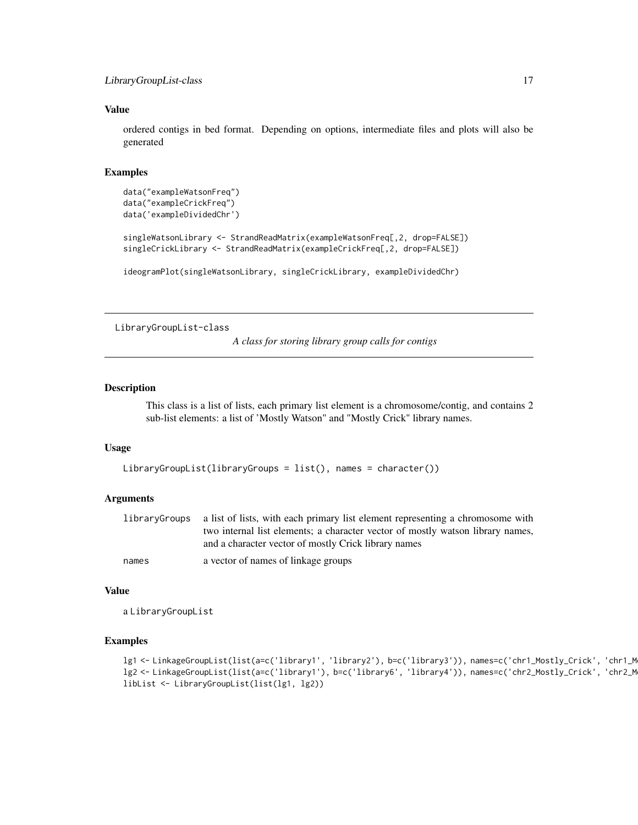#### <span id="page-16-0"></span>Value

ordered contigs in bed format. Depending on options, intermediate files and plots will also be generated

#### Examples

```
data("exampleWatsonFreq")
data("exampleCrickFreq")
data('exampleDividedChr')
singleWatsonLibrary <- StrandReadMatrix(exampleWatsonFreq[,2, drop=FALSE])
singleCrickLibrary <- StrandReadMatrix(exampleCrickFreq[,2, drop=FALSE])
```
ideogramPlot(singleWatsonLibrary, singleCrickLibrary, exampleDividedChr)

LibraryGroupList-class

*A class for storing library group calls for contigs*

#### Description

This class is a list of lists, each primary list element is a chromosome/contig, and contains 2 sub-list elements: a list of 'Mostly Watson" and "Mostly Crick" library names.

#### Usage

```
LibraryGroupList(libraryGroups = list(), names = character())
```
#### Arguments

|       | library Groups a list of lists, with each primary list element representing a chromosome with |
|-------|-----------------------------------------------------------------------------------------------|
|       | two internal list elements; a character vector of mostly watson library names,                |
|       | and a character vector of mostly Crick library names                                          |
| names | a vector of names of linkage groups                                                           |

#### Value

a LibraryGroupList

#### Examples

```
lg1 <- LinkageGroupList(list(a=c('library1', 'library2'), b=c('library3')), names=c('chr1_Mostly_Crick', 'chr1_M
lg2 <- LinkageGroupList(list(a=c('library1'), b=c('library6', 'library4')), names=c('chr2_Mostly_Crick', 'chr2_M
libList <- LibraryGroupList(list(lg1, lg2))
```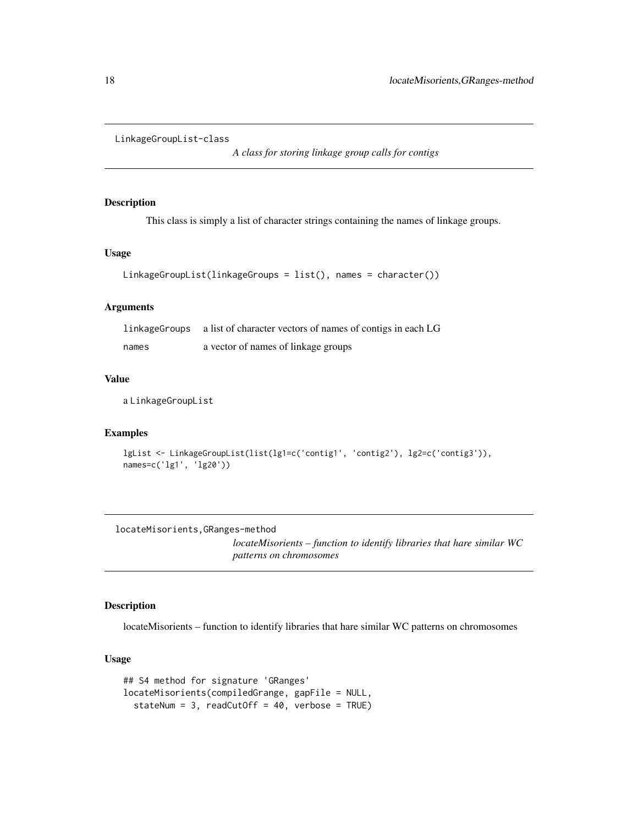```
LinkageGroupList-class
```
*A class for storing linkage group calls for contigs*

#### Description

This class is simply a list of character strings containing the names of linkage groups.

### Usage

```
LinkageGroupList(linkageGroups = list(), names = character())
```
#### Arguments

linkageGroups a list of character vectors of names of contigs in each LG names a vector of names of linkage groups

#### Value

a LinkageGroupList

#### Examples

```
lgList <- LinkageGroupList(list(lg1=c('contig1', 'contig2'), lg2=c('contig3')),
names=c('lg1', 'lg20'))
```
locateMisorients,GRanges-method

*locateMisorients – function to identify libraries that hare similar WC patterns on chromosomes*

#### Description

locateMisorients – function to identify libraries that hare similar WC patterns on chromosomes

#### Usage

```
## S4 method for signature 'GRanges'
locateMisorients(compiledGrange, gapFile = NULL,
 stateNum = 3, readCutOff = 40, verbose = TRUE)
```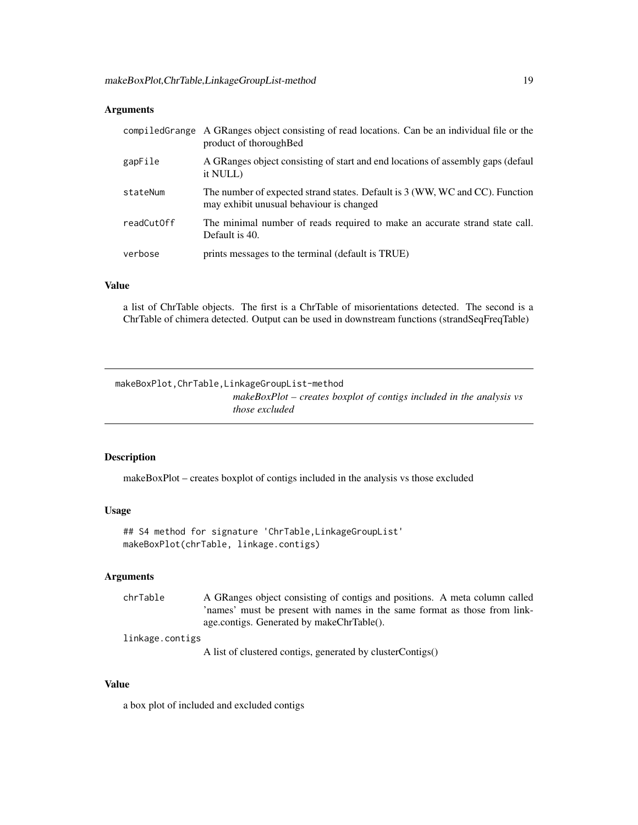### <span id="page-18-0"></span>Arguments

|            | compiled Grange A GRanges object consisting of read locations. Can be an individual file or the<br>product of thorough Bed |
|------------|----------------------------------------------------------------------------------------------------------------------------|
| gapFile    | A GRanges object consisting of start and end locations of assembly gaps (defaul<br>it NULL)                                |
| stateNum   | The number of expected strand states. Default is 3 (WW, WC and CC). Function<br>may exhibit unusual behaviour is changed   |
| readCutOff | The minimal number of reads required to make an accurate strand state call.<br>Default is 40.                              |
| verbose    | prints messages to the terminal (default is TRUE)                                                                          |

### Value

a list of ChrTable objects. The first is a ChrTable of misorientations detected. The second is a ChrTable of chimera detected. Output can be used in downstream functions (strandSeqFreqTable)

makeBoxPlot,ChrTable,LinkageGroupList-method *makeBoxPlot – creates boxplot of contigs included in the analysis vs those excluded*

### Description

makeBoxPlot – creates boxplot of contigs included in the analysis vs those excluded

### Usage

## S4 method for signature 'ChrTable,LinkageGroupList' makeBoxPlot(chrTable, linkage.contigs)

#### Arguments

| chrTable        | A GRanges object consisting of contigs and positions. A meta column called |
|-----------------|----------------------------------------------------------------------------|
|                 | names' must be present with names in the same format as those from link-   |
|                 | age.contigs. Generated by makeChrTable().                                  |
| linkage.contigs |                                                                            |

A list of clustered contigs, generated by clusterContigs()

#### Value

a box plot of included and excluded contigs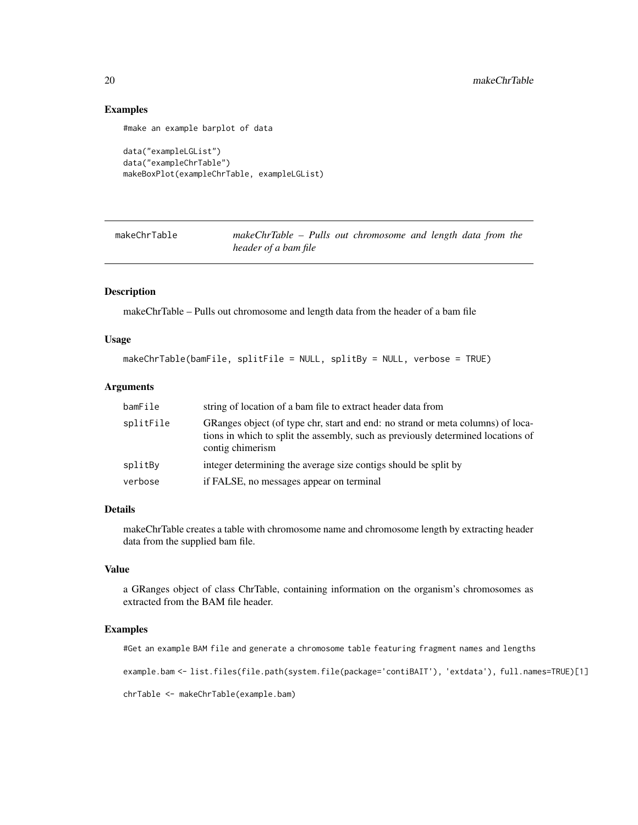#### Examples

#make an example barplot of data

```
data("exampleLGList")
data("exampleChrTable")
makeBoxPlot(exampleChrTable, exampleLGList)
```
makeChrTable *makeChrTable – Pulls out chromosome and length data from the header of a bam file*

### Description

makeChrTable – Pulls out chromosome and length data from the header of a bam file

### Usage

```
makeChrTable(bamFile, splitFile = NULL, splitBy = NULL, verbose = TRUE)
```
#### Arguments

| bamFile   | string of location of a bam file to extract header data from                                                                                                                            |
|-----------|-----------------------------------------------------------------------------------------------------------------------------------------------------------------------------------------|
| splitFile | GRanges object (of type chr, start and end: no strand or meta columns) of loca-<br>tions in which to split the assembly, such as previously determined locations of<br>contig chimerism |
| splitBy   | integer determining the average size contigs should be split by                                                                                                                         |
| verbose   | if FALSE, no messages appear on terminal                                                                                                                                                |
|           |                                                                                                                                                                                         |

### Details

makeChrTable creates a table with chromosome name and chromosome length by extracting header data from the supplied bam file.

#### Value

a GRanges object of class ChrTable, containing information on the organism's chromosomes as extracted from the BAM file header.

#### Examples

#Get an example BAM file and generate a chromosome table featuring fragment names and lengths

example.bam <- list.files(file.path(system.file(package='contiBAIT'), 'extdata'), full.names=TRUE)[1]

chrTable <- makeChrTable(example.bam)

<span id="page-19-0"></span>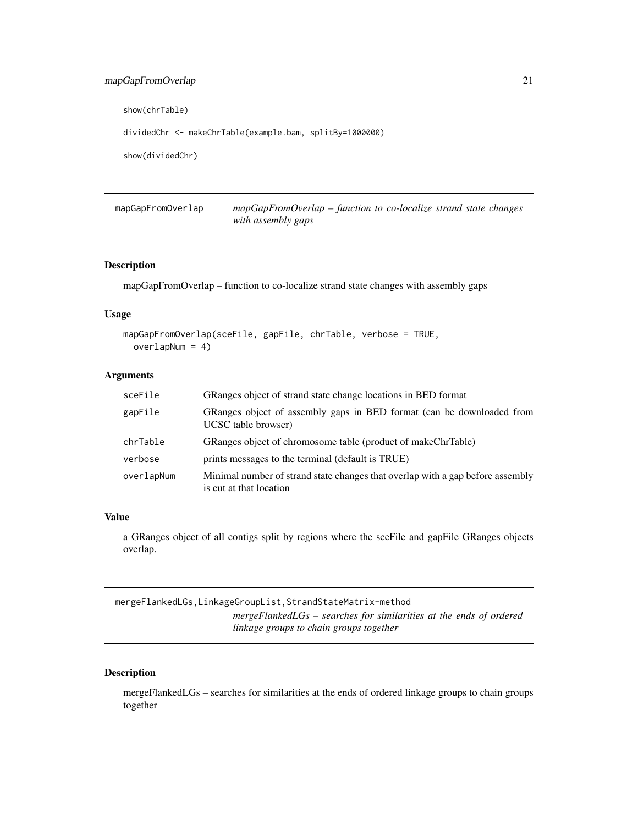### <span id="page-20-0"></span>mapGapFromOverlap 21

show(chrTable)

dividedChr <- makeChrTable(example.bam, splitBy=1000000)

show(dividedChr)

mapGapFromOverlap *mapGapFromOverlap – function to co-localize strand state changes with assembly gaps*

#### Description

mapGapFromOverlap – function to co-localize strand state changes with assembly gaps

#### Usage

```
mapGapFromOverlap(sceFile, gapFile, chrTable, verbose = TRUE,
 overlapNum = 4)
```
#### Arguments

| sceFile    | GRanges object of strand state change locations in BED format                                             |
|------------|-----------------------------------------------------------------------------------------------------------|
| gapFile    | GRanges object of assembly gaps in BED format (can be downloaded from<br>UCSC table browser)              |
| chrTable   | GRanges object of chromosome table (product of makeChrTable)                                              |
| verbose    | prints messages to the terminal (default is TRUE)                                                         |
| overlapNum | Minimal number of strand state changes that overlap with a gap before assembly<br>is cut at that location |

#### Value

a GRanges object of all contigs split by regions where the sceFile and gapFile GRanges objects overlap.

mergeFlankedLGs,LinkageGroupList,StrandStateMatrix-method *mergeFlankedLGs – searches for similarities at the ends of ordered linkage groups to chain groups together*

#### Description

mergeFlankedLGs – searches for similarities at the ends of ordered linkage groups to chain groups together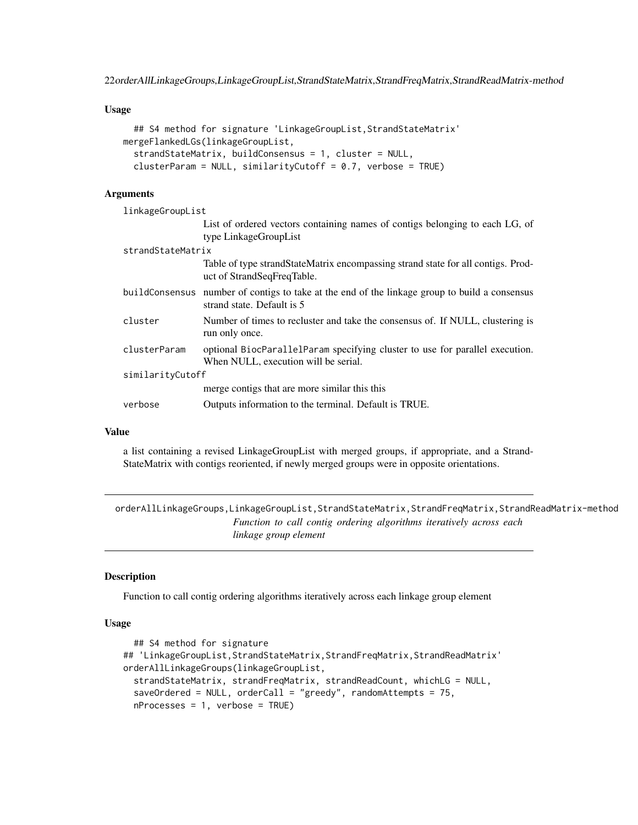<span id="page-21-0"></span>22orderAllLinkageGroups,LinkageGroupList,StrandStateMatrix,StrandFreqMatrix,StrandReadMatrix-method

#### Usage

```
## S4 method for signature 'LinkageGroupList, StrandStateMatrix'
mergeFlankedLGs(linkageGroupList,
  strandStateMatrix, buildConsensus = 1, cluster = NULL,
  clusterParam = NULL, similarityCutoff = 0.7, verbose = TRUE)
```
### Arguments

| linkageGroupList  |                                                                                                                              |  |
|-------------------|------------------------------------------------------------------------------------------------------------------------------|--|
|                   | List of ordered vectors containing names of contigs belonging to each LG, of<br>type LinkageGroupList                        |  |
| strandStateMatrix |                                                                                                                              |  |
|                   | Table of type strandStateMatrix encompassing strand state for all contigs. Prod-<br>uct of StrandSeqFreqTable.               |  |
|                   | build Consensus number of contigs to take at the end of the linkage group to build a consensus<br>strand state. Default is 5 |  |
| cluster           | Number of times to recluster and take the consensus of. If NULL, clustering is<br>run only once.                             |  |
| clusterParam      | optional BiocParallelParam specifying cluster to use for parallel execution.<br>When NULL, execution will be serial.         |  |
| similarityCutoff  |                                                                                                                              |  |
|                   | merge contigs that are more similar this this                                                                                |  |
| verbose           | Outputs information to the terminal. Default is TRUE.                                                                        |  |

#### Value

a list containing a revised LinkageGroupList with merged groups, if appropriate, and a Strand-StateMatrix with contigs reoriented, if newly merged groups were in opposite orientations.

orderAllLinkageGroups,LinkageGroupList,StrandStateMatrix,StrandFreqMatrix,StrandReadMatrix-method *Function to call contig ordering algorithms iteratively across each linkage group element*

#### Description

Function to call contig ordering algorithms iteratively across each linkage group element

### Usage

```
## S4 method for signature
## 'LinkageGroupList,StrandStateMatrix,StrandFreqMatrix,StrandReadMatrix'
orderAllLinkageGroups(linkageGroupList,
  strandStateMatrix, strandFreqMatrix, strandReadCount, whichLG = NULL,
  saveOrdered = NULL, orderCall = "greedy", randomAttempts = 75,
 nProcesses = 1, verbose = TRUE)
```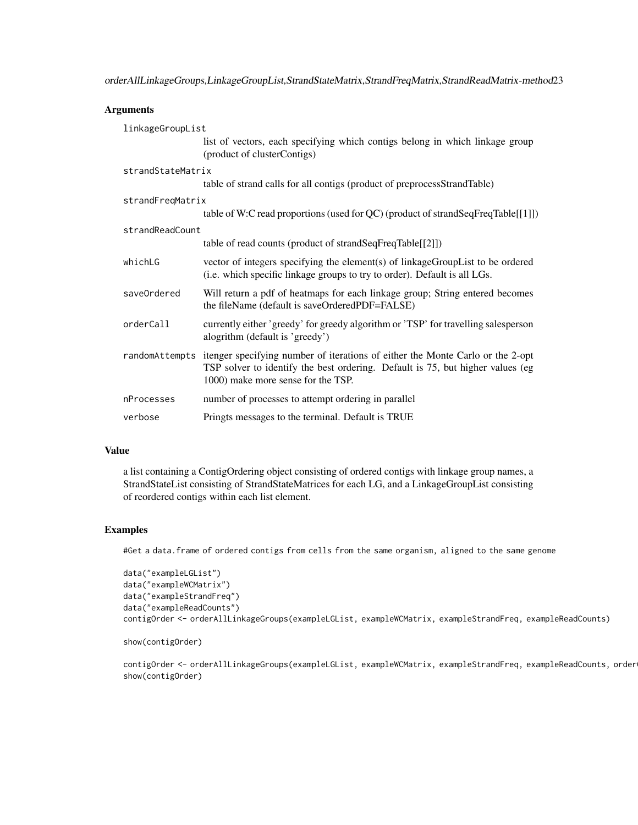orderAllLinkageGroups,LinkageGroupList,StrandStateMatrix,StrandFreqMatrix,StrandReadMatrix-method23

#### Arguments

| linkageGroupList  |                                                                                                                                                                                                        |  |
|-------------------|--------------------------------------------------------------------------------------------------------------------------------------------------------------------------------------------------------|--|
|                   | list of vectors, each specifying which contigs belong in which linkage group<br>(product of clusterContigs)                                                                                            |  |
| strandStateMatrix |                                                                                                                                                                                                        |  |
|                   | table of strand calls for all contigs (product of preprocessStrandTable)                                                                                                                               |  |
| strandFreqMatrix  |                                                                                                                                                                                                        |  |
|                   | table of W:C read proportions (used for QC) (product of strandSeqFreqTable[[1]])                                                                                                                       |  |
| strandReadCount   |                                                                                                                                                                                                        |  |
|                   | table of read counts (product of strandSeqFreqTable[[2]])                                                                                                                                              |  |
| whichLG           | vector of integers specifying the element(s) of linkageGroupList to be ordered<br>(i.e. which specific linkage groups to try to order). Default is all LGs.                                            |  |
| save0rdered       | Will return a pdf of heatmaps for each linkage group; String entered becomes<br>the fileName (default is saveOrderedPDF=FALSE)                                                                         |  |
| orderCall         | currently either 'greedy' for greedy algorithm or 'TSP' for travelling salesperson<br>alogrithm (default is 'greedy')                                                                                  |  |
| randomAttempts    | itenger specifying number of iterations of either the Monte Carlo or the 2-opt<br>TSP solver to identify the best ordering. Default is 75, but higher values (eg<br>1000) make more sense for the TSP. |  |
| nProcesses        | number of processes to attempt ordering in parallel                                                                                                                                                    |  |
| verbose           | Pringts messages to the terminal. Default is TRUE                                                                                                                                                      |  |

#### Value

a list containing a ContigOrdering object consisting of ordered contigs with linkage group names, a StrandStateList consisting of StrandStateMatrices for each LG, and a LinkageGroupList consisting of reordered contigs within each list element.

#### Examples

#Get a data.frame of ordered contigs from cells from the same organism, aligned to the same genome

```
data("exampleLGList")
data("exampleWCMatrix")
data("exampleStrandFreq")
data("exampleReadCounts")
contigOrder <- orderAllLinkageGroups(exampleLGList, exampleWCMatrix, exampleStrandFreq, exampleReadCounts)
```

```
show(contigOrder)
```
contigOrder <- orderAllLinkageGroups(exampleLGList, exampleWCMatrix, exampleStrandFreq, exampleReadCounts, order show(contigOrder)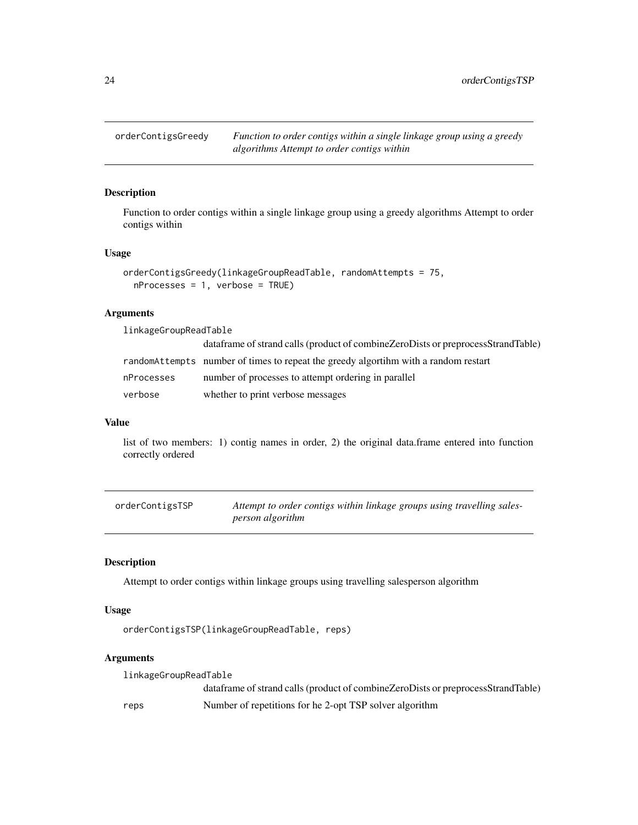<span id="page-23-0"></span>orderContigsGreedy *Function to order contigs within a single linkage group using a greedy algorithms Attempt to order contigs within*

### Description

Function to order contigs within a single linkage group using a greedy algorithms Attempt to order contigs within

### Usage

```
orderContigsGreedy(linkageGroupReadTable, randomAttempts = 75,
  nProcesses = 1, verbose = TRUE)
```
#### Arguments

linkageGroupReadTable

|            | data frame of strand calls (product of combine ZeroDists or preprocess Strand Table) |
|------------|--------------------------------------------------------------------------------------|
|            | randomAttempts number of times to repeat the greedy algorithm with a random restart  |
| nProcesses | number of processes to attempt ordering in parallel                                  |
| verbose    | whether to print verbose messages                                                    |

#### Value

list of two members: 1) contig names in order, 2) the original data.frame entered into function correctly ordered

| orderContigsTSP | Attempt to order contigs within linkage groups using travelling sales- |
|-----------------|------------------------------------------------------------------------|
|                 | person algorithm                                                       |

### Description

Attempt to order contigs within linkage groups using travelling salesperson algorithm

#### Usage

```
orderContigsTSP(linkageGroupReadTable, reps)
```
#### Arguments

| linkageGroupReadTable |      |                                                                                      |
|-----------------------|------|--------------------------------------------------------------------------------------|
|                       |      | data frame of strand calls (product of combine ZeroDists or preprocess Strand Table) |
|                       | reps | Number of repetitions for he 2-opt TSP solver algorithm                              |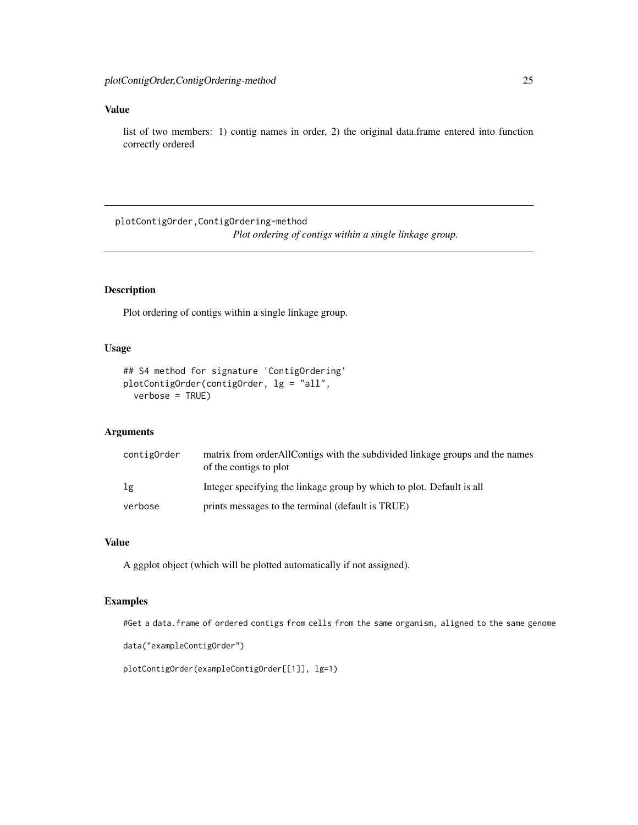### <span id="page-24-0"></span>Value

list of two members: 1) contig names in order, 2) the original data.frame entered into function correctly ordered

plotContigOrder,ContigOrdering-method *Plot ordering of contigs within a single linkage group.*

### Description

Plot ordering of contigs within a single linkage group.

#### Usage

```
## S4 method for signature 'ContigOrdering'
plotContigOrder(contigOrder, lg = "all",
 verbose = TRUE)
```
#### Arguments

| contigOrder | matrix from order All Contigs with the subdivided linkage groups and the names<br>of the contigs to plot |
|-------------|----------------------------------------------------------------------------------------------------------|
| lg          | Integer specifying the linkage group by which to plot. Default is all                                    |
| verbose     | prints messages to the terminal (default is TRUE)                                                        |

### Value

A ggplot object (which will be plotted automatically if not assigned).

### Examples

#Get a data.frame of ordered contigs from cells from the same organism, aligned to the same genome

```
data("exampleContigOrder")
```
plotContigOrder(exampleContigOrder[[1]], lg=1)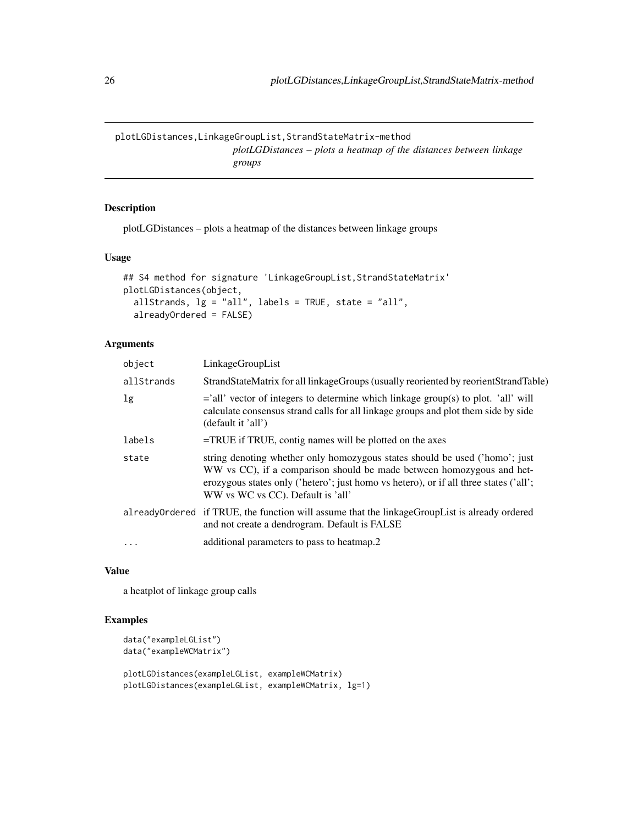<span id="page-25-0"></span>plotLGDistances,LinkageGroupList,StrandStateMatrix-method

*plotLGDistances – plots a heatmap of the distances between linkage groups*

### Description

plotLGDistances – plots a heatmap of the distances between linkage groups

#### Usage

```
## S4 method for signature 'LinkageGroupList, StrandStateMatrix'
plotLGDistances(object,
  allStrands, \lg = "all", labels = TRUE, state = "all",
  alreadyOrdered = FALSE)
```
### Arguments

| object         | LinkageGroupList                                                                                                                                                                                                                                                                   |
|----------------|------------------------------------------------------------------------------------------------------------------------------------------------------------------------------------------------------------------------------------------------------------------------------------|
| allStrands     | StrandStateMatrix for all linkageGroups (usually reoriented by reorientStrandTable)                                                                                                                                                                                                |
| 1 <sub>g</sub> | $=$ 'all' vector of integers to determine which linkage group(s) to plot. 'all' will<br>calculate consensus strand calls for all linkage groups and plot them side by side<br>(default it 'all')                                                                                   |
| labels         | $=$ TRUE if TRUE, contig names will be plotted on the axes                                                                                                                                                                                                                         |
| state          | string denoting whether only homozygous states should be used ('homo'; just<br>WW vs CC), if a comparison should be made between homozygous and het-<br>erozygous states only ('hetero'; just homo vs hetero), or if all three states ('all';<br>WW vs WC vs CC). Default is 'all' |
|                | already Ordered if TRUE, the function will assume that the linkage Group List is already ordered<br>and not create a dendrogram. Default is FALSE                                                                                                                                  |
| $\cdot$        | additional parameters to pass to heatmap.2                                                                                                                                                                                                                                         |

#### Value

a heatplot of linkage group calls

### Examples

```
data("exampleLGList")
data("exampleWCMatrix")
plotLGDistances(exampleLGList, exampleWCMatrix)
plotLGDistances(exampleLGList, exampleWCMatrix, lg=1)
```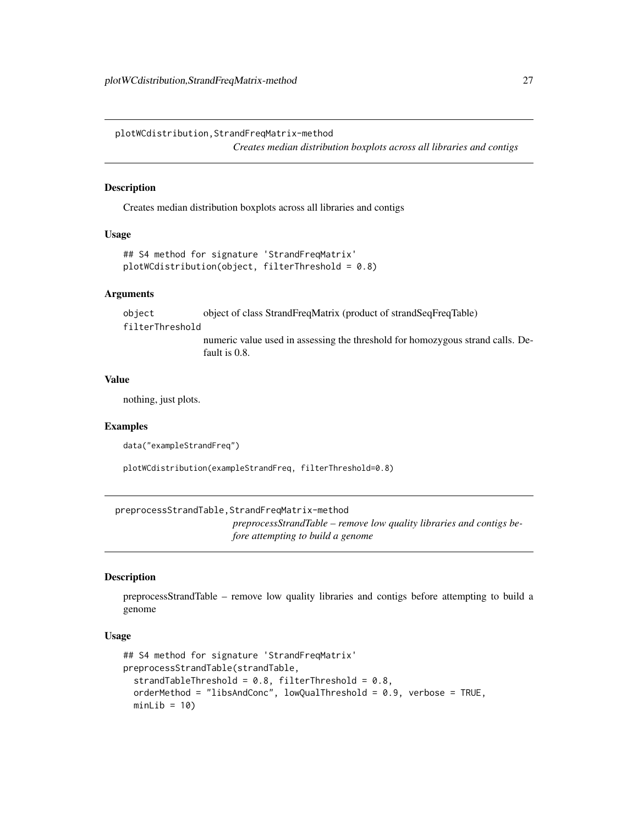### <span id="page-26-0"></span>Description

Creates median distribution boxplots across all libraries and contigs

### Usage

```
## S4 method for signature 'StrandFreqMatrix'
plotWCdistribution(object, filterThreshold = 0.8)
```
#### Arguments

object object of class StrandFreqMatrix (product of strandSeqFreqTable) filterThreshold numeric value used in assessing the threshold for homozygous strand calls. De-

fault is 0.8.

#### Value

nothing, just plots.

#### Examples

data("exampleStrandFreq")

plotWCdistribution(exampleStrandFreq, filterThreshold=0.8)

preprocessStrandTable,StrandFreqMatrix-method

*preprocessStrandTable – remove low quality libraries and contigs before attempting to build a genome*

#### Description

preprocessStrandTable – remove low quality libraries and contigs before attempting to build a genome

### Usage

```
## S4 method for signature 'StrandFreqMatrix'
preprocessStrandTable(strandTable,
  strandTableThreshold = 0.8, filterThreshold = 0.8,
 orderMethod = "libsAndConc", lowQualThreshold = 0.9, verbose = TRUE,
 minLib = 10)
```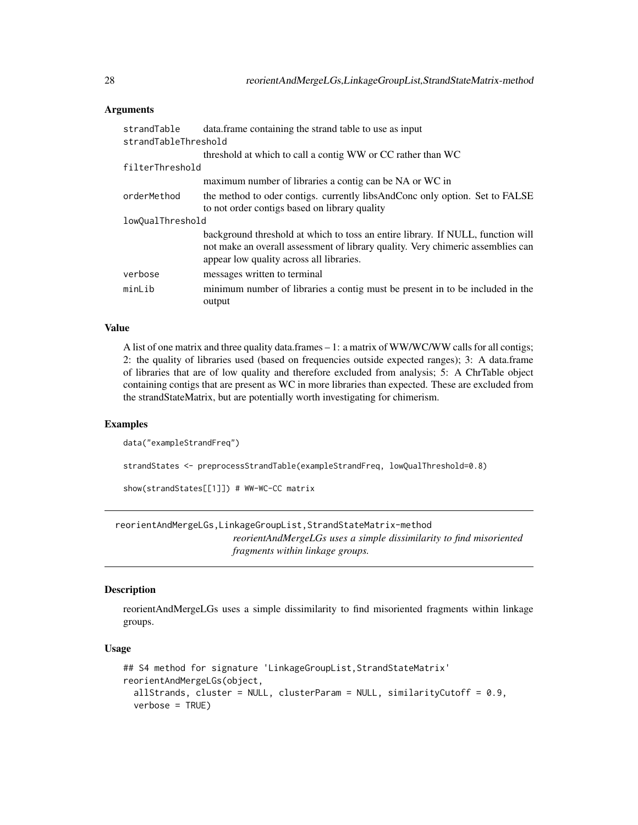#### Arguments

| strandTable<br>strandTableThreshold | data. frame containing the strand table to use as input                                                                                                                                                        |  |
|-------------------------------------|----------------------------------------------------------------------------------------------------------------------------------------------------------------------------------------------------------------|--|
|                                     | threshold at which to call a contig WW or CC rather than WC                                                                                                                                                    |  |
| filterThreshold                     |                                                                                                                                                                                                                |  |
|                                     | maximum number of libraries a contig can be NA or WC in                                                                                                                                                        |  |
| orderMethod                         | the method to oder contigs. currently libsAndConc only option. Set to FALSE<br>to not order contigs based on library quality                                                                                   |  |
| lowQualThreshold                    |                                                                                                                                                                                                                |  |
|                                     | background threshold at which to toss an entire library. If NULL, function will<br>not make an overall assessment of library quality. Very chimeric assemblies can<br>appear low quality across all libraries. |  |
| verbose                             | messages written to terminal                                                                                                                                                                                   |  |
| minLib                              | minimum number of libraries a contig must be present in to be included in the<br>output                                                                                                                        |  |

#### Value

A list of one matrix and three quality data.frames – 1: a matrix of WW/WC/WW calls for all contigs; 2: the quality of libraries used (based on frequencies outside expected ranges); 3: A data.frame of libraries that are of low quality and therefore excluded from analysis; 5: A ChrTable object containing contigs that are present as WC in more libraries than expected. These are excluded from the strandStateMatrix, but are potentially worth investigating for chimerism.

#### Examples

```
data("exampleStrandFreq")
strandStates <- preprocessStrandTable(exampleStrandFreq, lowQualThreshold=0.8)
show(strandStates[[1]]) # WW-WC-CC matrix
```
reorientAndMergeLGs,LinkageGroupList,StrandStateMatrix-method *reorientAndMergeLGs uses a simple dissimilarity to find misoriented fragments within linkage groups.*

### **Description**

reorientAndMergeLGs uses a simple dissimilarity to find misoriented fragments within linkage groups.

#### Usage

```
## S4 method for signature 'LinkageGroupList, StrandStateMatrix'
reorientAndMergeLGs(object,
  allStrands, cluster = NULL, clusterParam = NULL, similarityCutoff = 0.9,
 verbose = TRUE)
```
<span id="page-27-0"></span>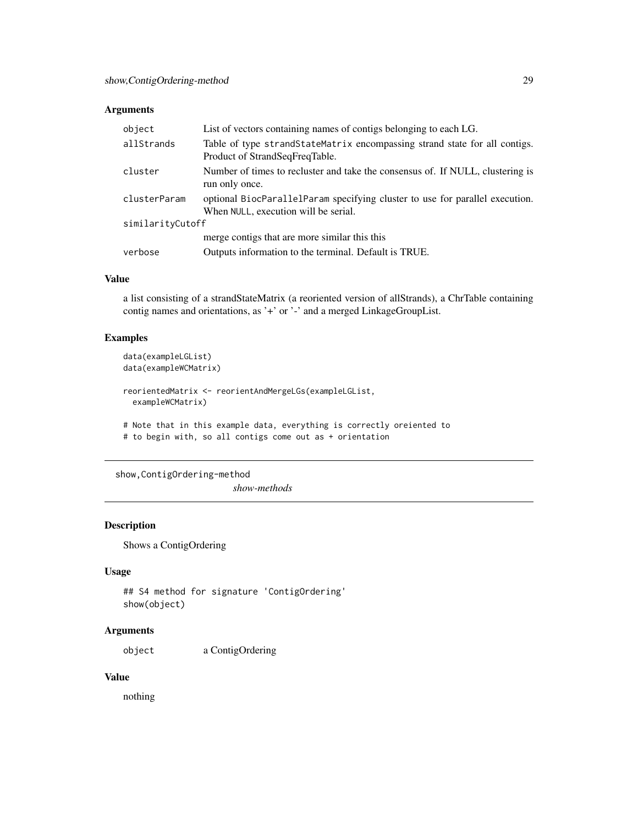#### <span id="page-28-0"></span>Arguments

| object           | List of vectors containing names of contigs belonging to each LG.                                                    |
|------------------|----------------------------------------------------------------------------------------------------------------------|
| allStrands       | Table of type strand StateMatrix encompassing strand state for all contigs.<br>Product of StrandSeqFreqTable.        |
| cluster          | Number of times to recluster and take the consensus of. If NULL, clustering is<br>run only once.                     |
| clusterParam     | optional BiocParallelParam specifying cluster to use for parallel execution.<br>When NULL, execution will be serial. |
| similarityCutoff |                                                                                                                      |
|                  | merge contigs that are more similar this this                                                                        |
| verbose          | Outputs information to the terminal. Default is TRUE.                                                                |

### Value

a list consisting of a strandStateMatrix (a reoriented version of allStrands), a ChrTable containing contig names and orientations, as '+' or '-' and a merged LinkageGroupList.

### Examples

```
data(exampleLGList)
data(exampleWCMatrix)
reorientedMatrix <- reorientAndMergeLGs(exampleLGList,
 exampleWCMatrix)
# Note that in this example data, everything is correctly oreiented to
```
# to begin with, so all contigs come out as + orientation

show,ContigOrdering-method

*show-methods*

#### Description

Shows a ContigOrdering

#### Usage

```
## S4 method for signature 'ContigOrdering'
show(object)
```
#### Arguments

object a ContigOrdering

#### Value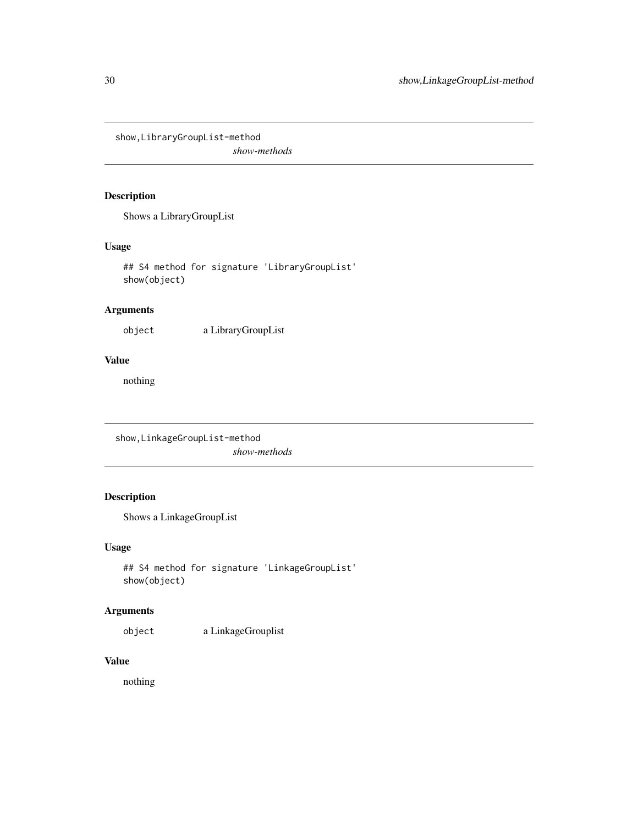<span id="page-29-0"></span>show,LibraryGroupList-method

*show-methods*

### Description

Shows a LibraryGroupList

### Usage

## S4 method for signature 'LibraryGroupList' show(object)

### Arguments

object a LibraryGroupList

### Value

nothing

show,LinkageGroupList-method *show-methods*

## Description

Shows a LinkageGroupList

### Usage

```
## S4 method for signature 'LinkageGroupList'
show(object)
```
### Arguments

object a LinkageGrouplist

### Value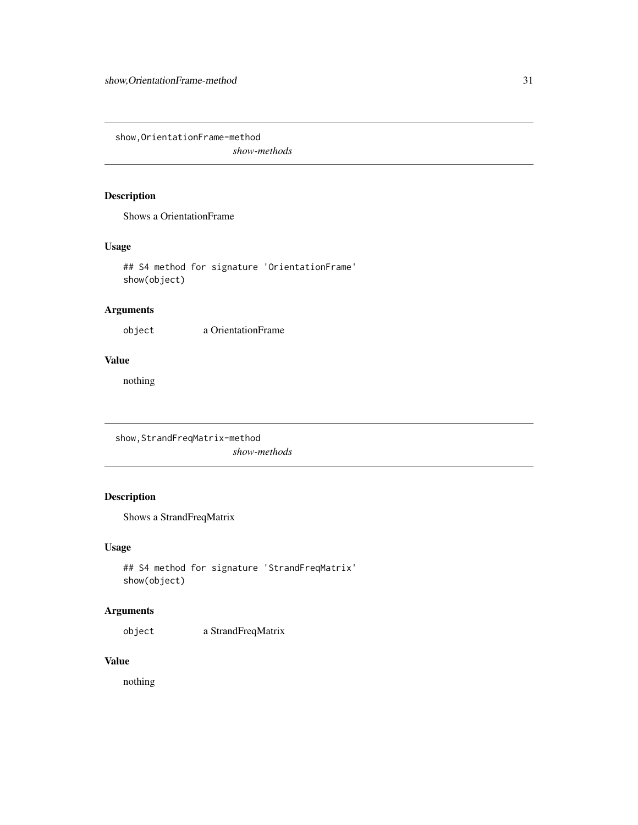<span id="page-30-0"></span>show,OrientationFrame-method

*show-methods*

### Description

Shows a OrientationFrame

### Usage

## S4 method for signature 'OrientationFrame' show(object)

### Arguments

object a OrientationFrame

### Value

nothing

show,StrandFreqMatrix-method *show-methods*

## Description

Shows a StrandFreqMatrix

### Usage

```
## S4 method for signature 'StrandFreqMatrix'
show(object)
```
### Arguments

object a StrandFreqMatrix

### Value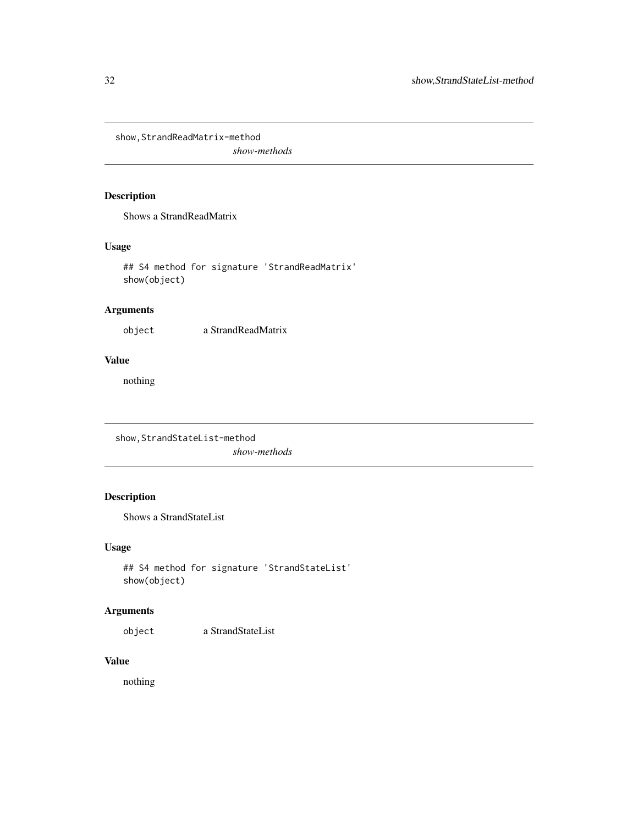<span id="page-31-0"></span>show,StrandReadMatrix-method

*show-methods*

### Description

Shows a StrandReadMatrix

### Usage

## S4 method for signature 'StrandReadMatrix' show(object)

### Arguments

object a StrandReadMatrix

### Value

nothing

show,StrandStateList-method *show-methods*

## Description

Shows a StrandStateList

### Usage

```
## S4 method for signature 'StrandStateList'
show(object)
```
### Arguments

object a StrandStateList

### Value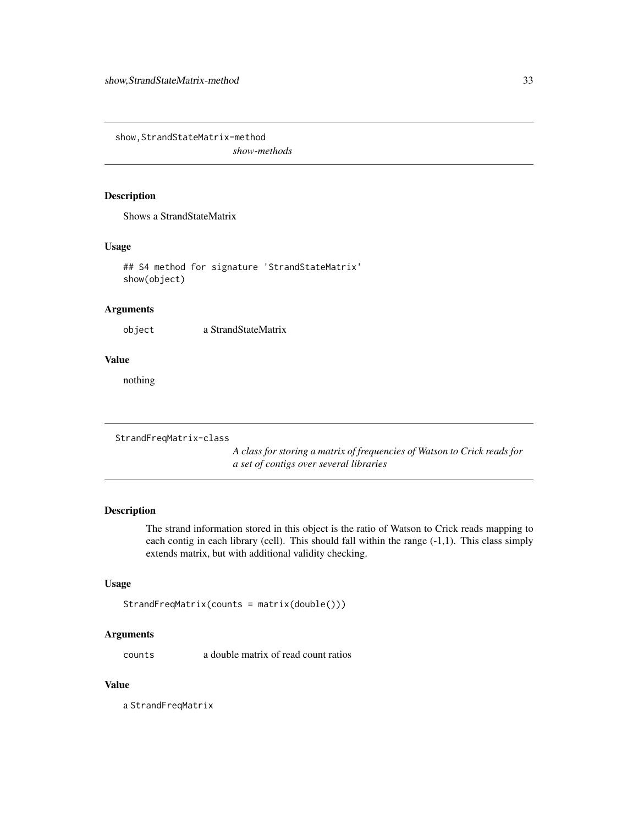<span id="page-32-0"></span>show, StrandStateMatrix-method

*show-methods*

### Description

Shows a StrandStateMatrix

### Usage

## S4 method for signature 'StrandStateMatrix' show(object)

### Arguments

object a StrandStateMatrix

#### Value

nothing

StrandFreqMatrix-class

*A class for storing a matrix of frequencies of Watson to Crick reads for a set of contigs over several libraries*

### Description

The strand information stored in this object is the ratio of Watson to Crick reads mapping to each contig in each library (cell). This should fall within the range (-1,1). This class simply extends matrix, but with additional validity checking.

### Usage

```
StrandFreqMatrix(counts = matrix(double()))
```
#### Arguments

counts a double matrix of read count ratios

#### Value

a StrandFreqMatrix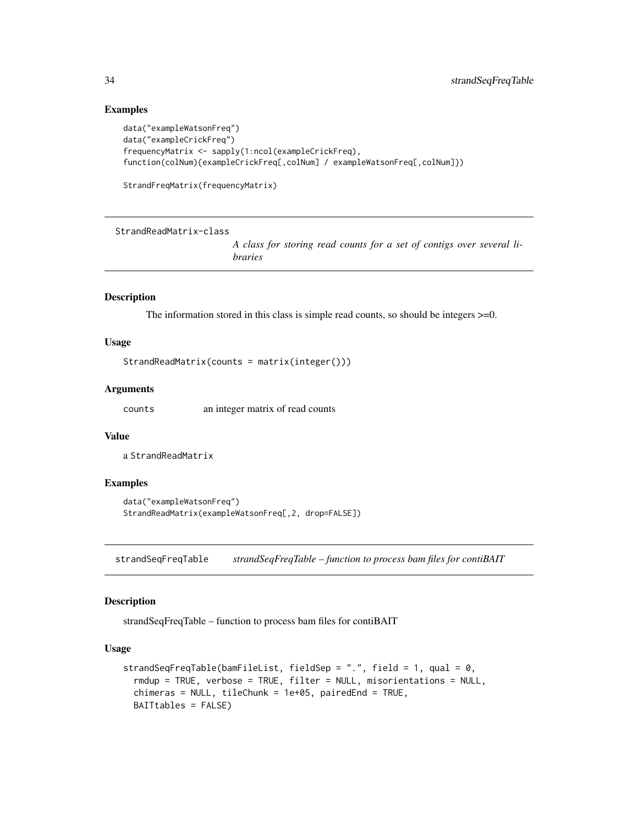#### Examples

```
data("exampleWatsonFreq")
data("exampleCrickFreq")
frequencyMatrix <- sapply(1:ncol(exampleCrickFreq),
function(colNum){exampleCrickFreq[,colNum] / exampleWatsonFreq[,colNum]})
```

```
StrandFreqMatrix(frequencyMatrix)
```
StrandReadMatrix-class

*A class for storing read counts for a set of contigs over several libraries*

#### Description

The information stored in this class is simple read counts, so should be integers >=0.

#### Usage

```
StrandReadMatrix(counts = matrix(integer()))
```
#### Arguments

counts an integer matrix of read counts

#### Value

a StrandReadMatrix

#### Examples

```
data("exampleWatsonFreq")
StrandReadMatrix(exampleWatsonFreq[,2, drop=FALSE])
```
strandSeqFreqTable *strandSeqFreqTable – function to process bam files for contiBAIT*

#### Description

strandSeqFreqTable – function to process bam files for contiBAIT

#### Usage

```
strandSeqFreqTable(bamFileList, fieldSep = ".", field = 1, qual = 0,
 rmdup = TRUE, verbose = TRUE, filter = NULL, misorientations = NULL,
  chimeras = NULL, tileChunk = 1e+05, pairedEnd = TRUE,
 BAITtables = FALSE)
```
<span id="page-33-0"></span>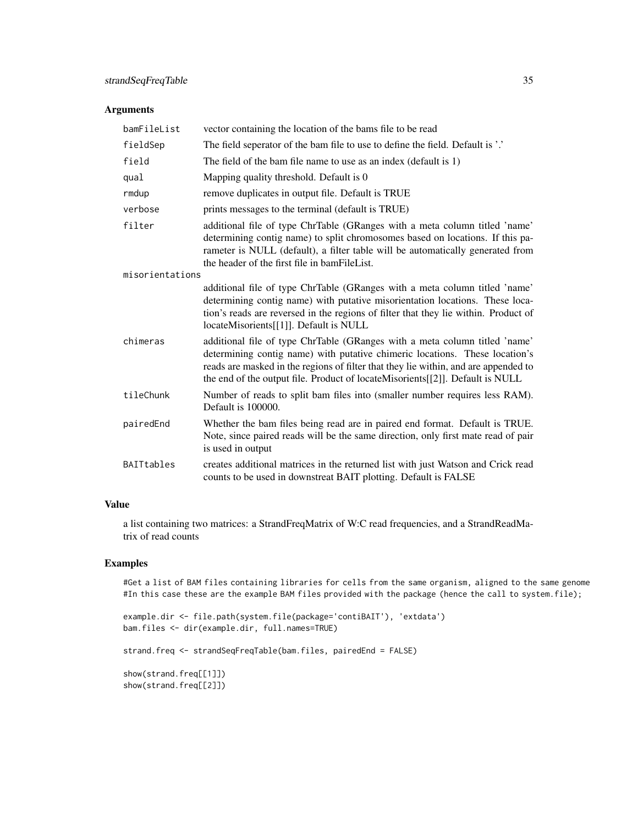#### Arguments

| bamFileList     | vector containing the location of the bams file to be read                                                                                                                                                                                                                                                                        |
|-----------------|-----------------------------------------------------------------------------------------------------------------------------------------------------------------------------------------------------------------------------------------------------------------------------------------------------------------------------------|
| fieldSep        | The field seperator of the bam file to use to define the field. Default is '.'                                                                                                                                                                                                                                                    |
| field           | The field of the bam file name to use as an index (default is 1)                                                                                                                                                                                                                                                                  |
| qual            | Mapping quality threshold. Default is 0                                                                                                                                                                                                                                                                                           |
| rmdup           | remove duplicates in output file. Default is TRUE                                                                                                                                                                                                                                                                                 |
| verbose         | prints messages to the terminal (default is TRUE)                                                                                                                                                                                                                                                                                 |
| filter          | additional file of type ChrTable (GRanges with a meta column titled 'name'<br>determining contig name) to split chromosomes based on locations. If this pa-<br>rameter is NULL (default), a filter table will be automatically generated from<br>the header of the first file in bamFileList.                                     |
| misorientations |                                                                                                                                                                                                                                                                                                                                   |
|                 | additional file of type ChrTable (GRanges with a meta column titled 'name'<br>determining contig name) with putative misorientation locations. These loca-<br>tion's reads are reversed in the regions of filter that they lie within. Product of<br>locateMisorients[[1]]. Default is NULL                                       |
| chimeras        | additional file of type ChrTable (GRanges with a meta column titled 'name'<br>determining contig name) with putative chimeric locations. These location's<br>reads are masked in the regions of filter that they lie within, and are appended to<br>the end of the output file. Product of locateMisorients[[2]]. Default is NULL |
| tileChunk       | Number of reads to split bam files into (smaller number requires less RAM).<br>Default is 100000.                                                                                                                                                                                                                                 |
| pairedEnd       | Whether the bam files being read are in paired end format. Default is TRUE.<br>Note, since paired reads will be the same direction, only first mate read of pair<br>is used in output                                                                                                                                             |
| BAITtables      | creates additional matrices in the returned list with just Watson and Crick read<br>counts to be used in downstreat BAIT plotting. Default is FALSE                                                                                                                                                                               |

### Value

a list containing two matrices: a StrandFreqMatrix of W:C read frequencies, and a StrandReadMatrix of read counts

#### Examples

#Get a list of BAM files containing libraries for cells from the same organism, aligned to the same genome #In this case these are the example BAM files provided with the package (hence the call to system.file);

```
example.dir <- file.path(system.file(package='contiBAIT'), 'extdata')
bam.files <- dir(example.dir, full.names=TRUE)
```
strand.freq <- strandSeqFreqTable(bam.files, pairedEnd = FALSE)

show(strand.freq[[1]]) show(strand.freq[[2]])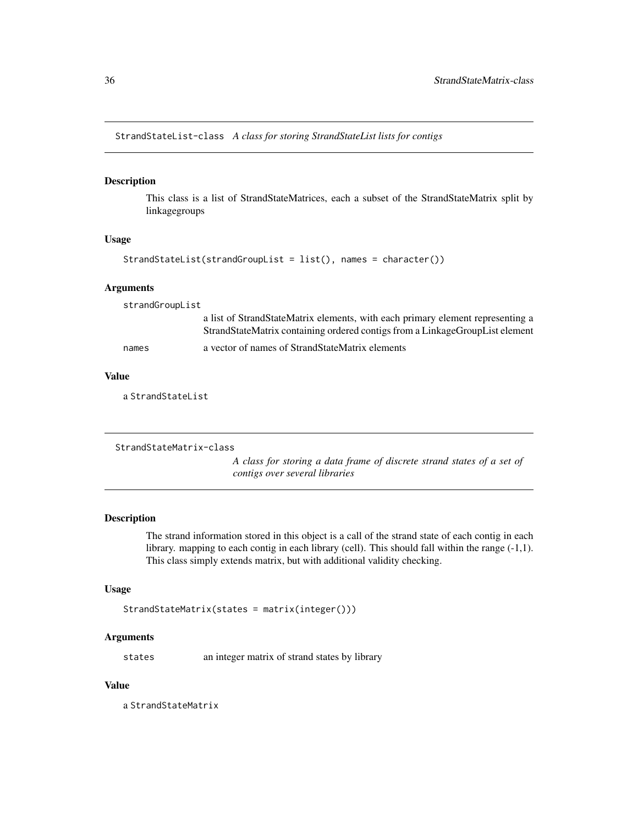<span id="page-35-0"></span>StrandStateList-class *A class for storing StrandStateList lists for contigs*

#### Description

This class is a list of StrandStateMatrices, each a subset of the StrandStateMatrix split by linkagegroups

### Usage

```
StrandStateList(strandGroupList = list(), names = character())
```
#### Arguments

strandGroupList

a list of StrandStateMatrix elements, with each primary element representing a StrandStateMatrix containing ordered contigs from a LinkageGroupList element names a vector of names of StrandStateMatrix elements

#### Value

a StrandStateList

```
StrandStateMatrix-class
```
*A class for storing a data frame of discrete strand states of a set of contigs over several libraries*

#### Description

The strand information stored in this object is a call of the strand state of each contig in each library. mapping to each contig in each library (cell). This should fall within the range (-1,1). This class simply extends matrix, but with additional validity checking.

### Usage

```
StrandStateMatrix(states = matrix(integer()))
```
#### Arguments

states an integer matrix of strand states by library

#### Value

a StrandStateMatrix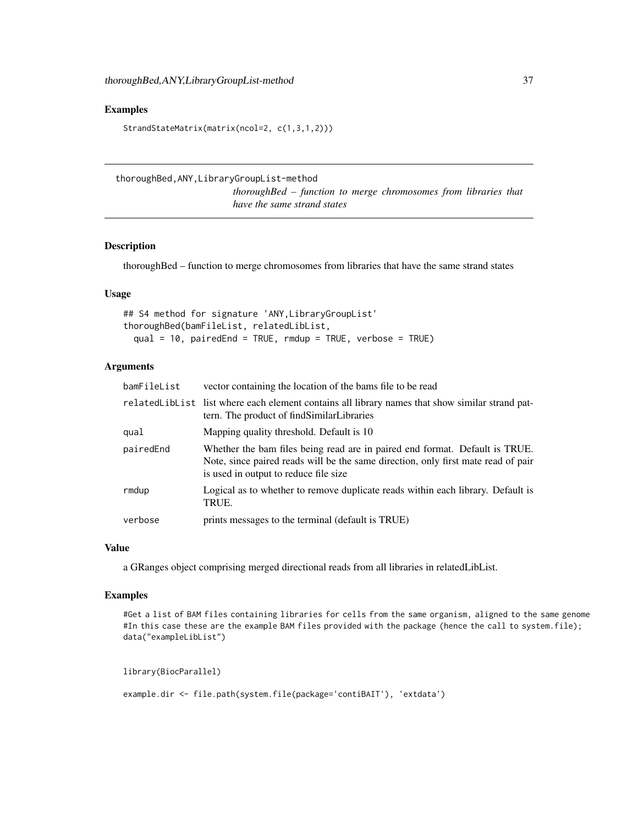### <span id="page-36-0"></span>Examples

StrandStateMatrix(matrix(ncol=2, c(1,3,1,2)))

thoroughBed,ANY,LibraryGroupList-method

*thoroughBed – function to merge chromosomes from libraries that have the same strand states*

### Description

thoroughBed – function to merge chromosomes from libraries that have the same strand states

#### Usage

## S4 method for signature 'ANY,LibraryGroupList' thoroughBed(bamFileList, relatedLibList, qual = 10, pairedEnd = TRUE, rmdup = TRUE, verbose = TRUE)

### Arguments

| bamFileList | vector containing the location of the bams file to be read                                                                                                                                                |
|-------------|-----------------------------------------------------------------------------------------------------------------------------------------------------------------------------------------------------------|
|             | related liblist list where each element contains all library names that show similar strand pat-<br>tern. The product of find Similar Libraries                                                           |
| qual        | Mapping quality threshold. Default is 10                                                                                                                                                                  |
| pairedEnd   | Whether the bam files being read are in paired end format. Default is TRUE.<br>Note, since paired reads will be the same direction, only first mate read of pair<br>is used in output to reduce file size |
| rmdup       | Logical as to whether to remove duplicate reads within each library. Default is<br>TRUE.                                                                                                                  |
| verbose     | prints messages to the terminal (default is TRUE)                                                                                                                                                         |

#### Value

a GRanges object comprising merged directional reads from all libraries in relatedLibList.

### Examples

#Get a list of BAM files containing libraries for cells from the same organism, aligned to the same genome #In this case these are the example BAM files provided with the package (hence the call to system.file); data("exampleLibList")

library(BiocParallel)

example.dir <- file.path(system.file(package='contiBAIT'), 'extdata')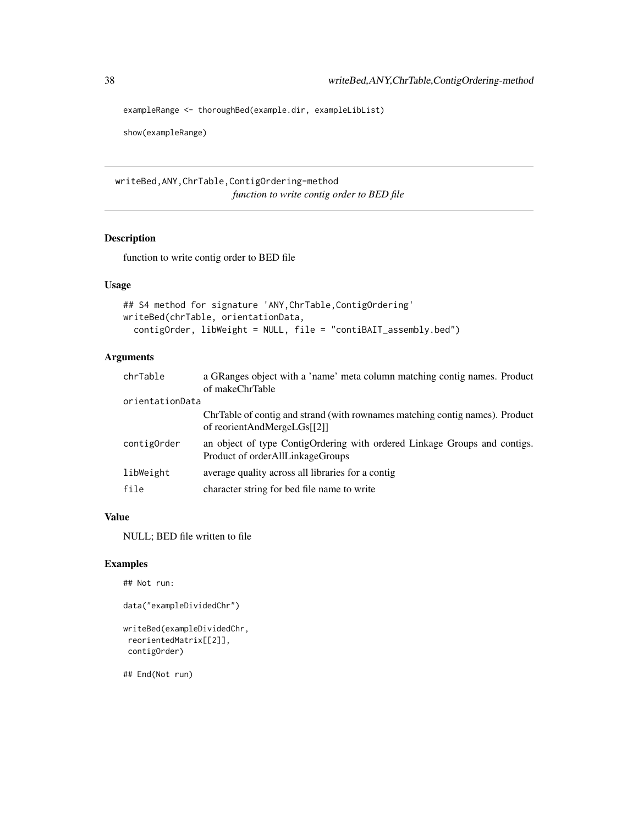exampleRange <- thoroughBed(example.dir, exampleLibList)

show(exampleRange)

writeBed,ANY,ChrTable,ContigOrdering-method *function to write contig order to BED file*

### Description

function to write contig order to BED file

#### Usage

```
## S4 method for signature 'ANY,ChrTable,ContigOrdering'
writeBed(chrTable, orientationData,
 contigOrder, libWeight = NULL, file = "contiBAIT_assembly.bed")
```
#### Arguments

| chrTable        | a GRanges object with a 'name' meta column matching contig names. Product<br>of makeChrTable                  |
|-----------------|---------------------------------------------------------------------------------------------------------------|
| orientationData |                                                                                                               |
|                 | ChrTable of contig and strand (with rownames matching contig names). Product<br>of reorientAndMergeLGs[[2]]   |
| contigOrder     | an object of type ContigOrdering with ordered Linkage Groups and contigs.<br>Product of orderAllLinkageGroups |
| libWeight       | average quality across all libraries for a contig                                                             |
| file            | character string for bed file name to write                                                                   |

### Value

NULL; BED file written to file

#### Examples

## Not run:

```
data("exampleDividedChr")
```

```
writeBed(exampleDividedChr,
reorientedMatrix[[2]],
contigOrder)
```
## End(Not run)

<span id="page-37-0"></span>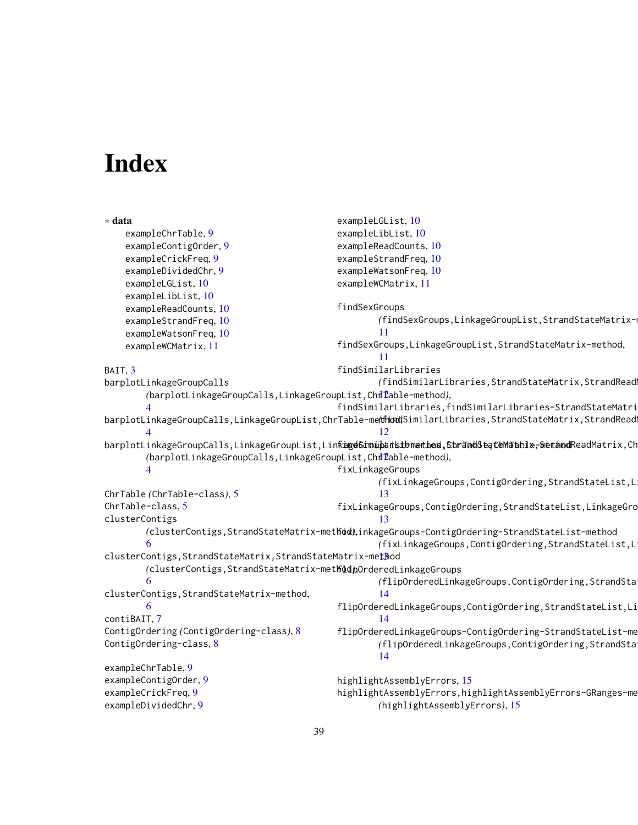# <span id="page-38-0"></span>Index

```
∗ data
    exampleChrTable, 9
    exampleContigOrder, 9
    exampleCrickFreq, 9
    exampleDividedChr, 9
    exampleLGList, 10
    exampleLibList, 10
    exampleReadCounts, 10
    exampleStrandFreq, 10
    exampleWatsonFreq, 10
    exampleWCMatrix, 11
BAIT, 3
barplotLinkageGroupCalls
         (barplotLinkageGroupCalls,LinkageGroupList,ChrTable-method),
12
         4
barplotLinkageGroupCalls,LinkageGroupList,ChrTable-me<mark>tthod</mark>dSimilarLibraries,StrandStateMatrix,StrandReadl
         4
barplotLinkageGroupCalls,LinkageGroupList,Lin<mark>fageSroupatistbmethos,ShrJadSteaCeMJable-Setanod</mark>ReadMatrix,Ch
         (barplotLinkageGroupCalls,LinkageGroupList,ChrTable-method),
12
        4
ChrTable (ChrTable-class), 5
ChrTable-class, 5
clusterContigs
         (clusterContigs,StrandStateMatrix-method),
fixLinkageGroups-ContigOrdering-StrandStateList-method
         6
ethod
         (clusterContigs,StrandStateMatrix-method),
flipOrderedLinkageGroups
        6
clusterContigs,StrandStateMatrix-method,
        6
contiBAIT, 7
ContigOrdering (ContigOrdering-class), 8
ContigOrdering-class, 8
exampleChrTable, 9
exampleContigOrder, 9
exampleCrickFreq, 9
exampleDividedChr, 9
                                                 exampleLGList, 10
                                                 exampleLibList, 10
                                                 exampleReadCounts, 10
                                                 exampleStrandFreq, 10
                                                 exampleWatsonFreq, 10
                                                 exampleWCMatrix, 11
                                                 findSexGroups
                                                          (findSexGroups,LinkageGroupList,StrandStateMatrix-method),
                                                          11
                                                 findSexGroups,LinkageGroupList,StrandStateMatrix-method,
                                                          11
                                                 findSimilarLibraries
                                                          (findSimilarLibraries,StrandStatelMatrix, StrandReadfindSimilarLibraries,findSimilarLibraries-StrandStateMatri
                                                          12
                                                 fixLinkageGroups
                                                          (fixLinkageGroups,ContigOrdering,StrandStateList,LinkageGroupList-method),
                                                          13
                                                 fixLinkageGroups,ContigOrdering,StrandStateList,LinkageGro
                                                          13
                                                          (fixLinkageGroups,ContigOrdering,StrandStateList,LinkageGroupList-method),
                                                          (flipOrderedLinkageGroups,ContigOrdering,StrandStateList,LinkageGroupList,StrandStateMatrix-method),
                                                          14
                                                 flipOrderedLinkageGroups,ContigOrdering,StrandStateList,Li
                                                          14
                                                 flipOrderedLinkageGroups-ContigOrdering-StrandStateList-method
                                                          (flipOrderedLinkageGroups,ContigOrdering,StrandStateList,LinkageGroupList,StrandStateMatrix-method),
                                                          14
                                                 highlightAssemblyErrors, 15
                                                 highlightAssemblyErrors,highlightAssemblyErrors-GRanges-me
                                                          (highlightAssemblyErrors), 15
```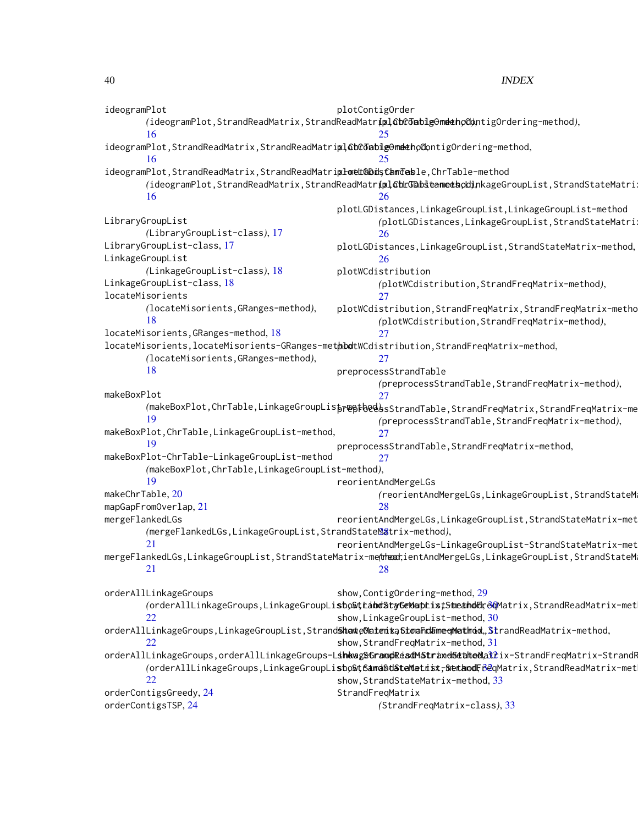40 INDEX

ideogramPlot *(*ideogramPlot,StrandReadMatrix,StrandReadMatrix,ChrTable-method*)*, *(*plotContigOrder,ContigOrdering-method*)*, [16](#page-15-0) ideogramPlot,StrandReadMatrix,StrandReadMatriplothTablgOmdethodontigOrdering-method, [16](#page-15-0) ideogramPlot,StrandReadMatrix,StrandReadMatri**plonetGDdsChmTebl**e,ChrTable-method  $(\hat{\mathsf{d}}$ deogramP $\mathsf{lot},\mathsf{StrandReadMatrix},\mathsf{StrandReadMatrix}$ **.**  $\hat{\mathsf{d}}$ **hrG** $\mathsf{B}$ **bdteame** $\hat{\mathsf{d}}$ **bd),**hkageGroupList,StrandStateMatri: [16](#page-15-0) LibraryGroupList *(*LibraryGroupList-class*)*, [17](#page-16-0) LibraryGroupList-class, [17](#page-16-0) LinkageGroupList *(*LinkageGroupList-class*)*, [18](#page-17-0) LinkageGroupList-class, [18](#page-17-0) locateMisorients *(*locateMisorients,GRanges-method*)*, [18](#page-17-0) locateMisorients,GRanges-method, [18](#page-17-0) locateMisorients,locateMisorients-GRanges-met**þod**tWCdistribution,StrandFreqMatrix-method, *(*locateMisorients,GRanges-method*)*, [18](#page-17-0) makeBoxPlot /makeBoxPlot,ChrTable,LinkageGroupLis**t<sub>T</sub>@pt0ed**&sStrandTable,StrandFreqMatrix,StrandFreqMatrix-me [19](#page-18-0) makeBoxPlot,ChrTable,LinkageGroupList-method, [19](#page-18-0) makeBoxPlot-ChrTable-LinkageGroupList-method *(*makeBoxPlot,ChrTable,LinkageGroupList-method*)*, [19](#page-18-0) makeChrTable, [20](#page-19-0) mapGapFromOverlap, [21](#page-20-0) mergeFlankedLGs *(*mergeFlankedLGs,LinkageGroupList,StrandState[Mat](#page-27-0)rix-method*)*, 28 [21](#page-20-0) mergeFlankedLGs,LinkageGroupList,StrandStateMatrix<mark>-me@theoo</mark>t;ientAndMergeLGs,LinkageGroupList,StrandStateM [21](#page-20-0) orderAllLinkageGroups (orderAllLinkageGroups,LinkageGroupLi**stoSt,LabdStyGeMapListStmandEl**reMMatrix,StrandReadMatrix-met [22](#page-21-0) orderAllLinkageGroups,LinkageGroupList[,Str](#page-30-0)and**ShanteMatenixa6toaFid5meqMathid,St**randReadMatrix-method, [22](#page-21-0) orderAllLinkageGroups,orderAllLinkageGroups**-Lsh&ag&GrandReadMatrand&eahed)al**lix-StrandFreqM[atri](#page-31-0)x-StrandR (orderAllLinkageGroups,LinkageGroupLi**sto&t,Bamd&t&teNatist<del>,</del>&thaodF**&@Matrix,StrandReadMatrix-met [22](#page-21-0) orderContigsGreedy, [24](#page-23-0) orderContigsTSP, [24](#page-23-0) plotContigOrder [25](#page-24-0) [25](#page-24-0) [26](#page-25-0) plotLGDistances,LinkageGroupList,LinkageGroupList-method *(*plotLGDistances,LinkageGroupList,StrandStateMatrix-method*)*, [26](#page-25-0) plotLGDistances,LinkageGroupList,StrandStateMatrix-method, [26](#page-25-0) plotWCdistribution *(*plotWCdistribution,StrandFreqMatrix-method*)*, [27](#page-26-0) plotWCdistribution,StrandFreqMatrix,StrandFreqMatrix-method *(*plotWCdistribution,StrandFreqMatrix-method*)*, [27](#page-26-0) [27](#page-26-0) preprocessStrandTable *(*preprocessStrandTable,StrandFreqMatrix-method*)*, [27](#page-26-0) *(*preprocessStrandTable,StrandFreqMatrix-method*)*, [27](#page-26-0) preprocessStrandTable,StrandFreqMatrix-method, [27](#page-26-0) reorientAndMergeLGs *(*reorientAndMergeLGs,LinkageGroupList,StrandStateMatrix-method*)*, [28](#page-27-0) reorientAndMergeLGs,LinkageGroupList,StrandStateMatrix-method, reorientAndMergeLGs-LinkageGroupList-StrandStateMatrix-met [28](#page-27-0) show,ContigOrdering-method, [29](#page-28-0) show,LinkageGroupList-method, [30](#page-29-0) show, StrandFreqMatrix-method, [31](#page-30-0) show, StrandStateMatrix-method, [33](#page-32-0) StrandFreqMatrix *(*StrandFreqMatrix-class*)*, [33](#page-32-0)